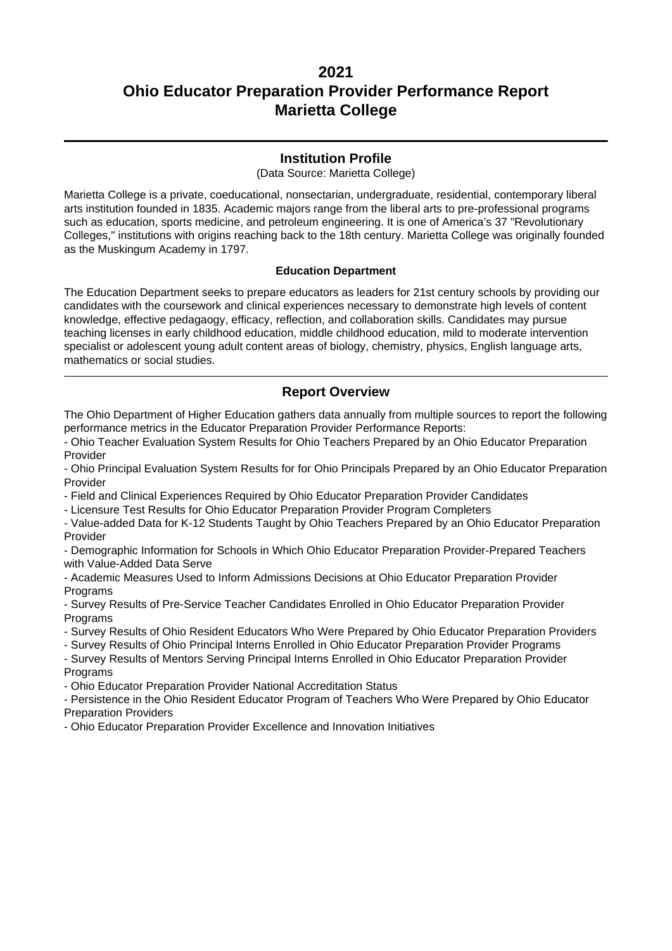### **Institution Profile**

(Data Source: Marietta College)

Marietta College is a private, coeducational, nonsectarian, undergraduate, residential, contemporary liberal arts institution founded in 1835. Academic majors range from the liberal arts to pre-professional programs such as education, sports medicine, and petroleum engineering. It is one of America's 37 "Revolutionary Colleges," institutions with origins reaching back to the 18th century. Marietta College was originally founded as the Muskingum Academy in 1797.

#### **Education Department**

The Education Department seeks to prepare educators as leaders for 21st century schools by providing our candidates with the coursework and clinical experiences necessary to demonstrate high levels of content knowledge, effective pedagaogy, efficacy, reflection, and collaboration skills. Candidates may pursue teaching licenses in early childhood education, middle childhood education, mild to moderate intervention specialist or adolescent young adult content areas of biology, chemistry, physics, English language arts, mathematics or social studies.

### **Report Overview**

The Ohio Department of Higher Education gathers data annually from multiple sources to report the following performance metrics in the Educator Preparation Provider Performance Reports:

- Ohio Teacher Evaluation System Results for Ohio Teachers Prepared by an Ohio Educator Preparation Provider

- Ohio Principal Evaluation System Results for for Ohio Principals Prepared by an Ohio Educator Preparation Provider

- Field and Clinical Experiences Required by Ohio Educator Preparation Provider Candidates

- Licensure Test Results for Ohio Educator Preparation Provider Program Completers

- Value-added Data for K-12 Students Taught by Ohio Teachers Prepared by an Ohio Educator Preparation Provider

- Demographic Information for Schools in Which Ohio Educator Preparation Provider-Prepared Teachers with Value-Added Data Serve

- Academic Measures Used to Inform Admissions Decisions at Ohio Educator Preparation Provider **Programs** 

- Survey Results of Pre-Service Teacher Candidates Enrolled in Ohio Educator Preparation Provider **Programs** 

- Survey Results of Ohio Resident Educators Who Were Prepared by Ohio Educator Preparation Providers

- Survey Results of Ohio Principal Interns Enrolled in Ohio Educator Preparation Provider Programs

- Survey Results of Mentors Serving Principal Interns Enrolled in Ohio Educator Preparation Provider **Programs** 

- Ohio Educator Preparation Provider National Accreditation Status

- Persistence in the Ohio Resident Educator Program of Teachers Who Were Prepared by Ohio Educator Preparation Providers

- Ohio Educator Preparation Provider Excellence and Innovation Initiatives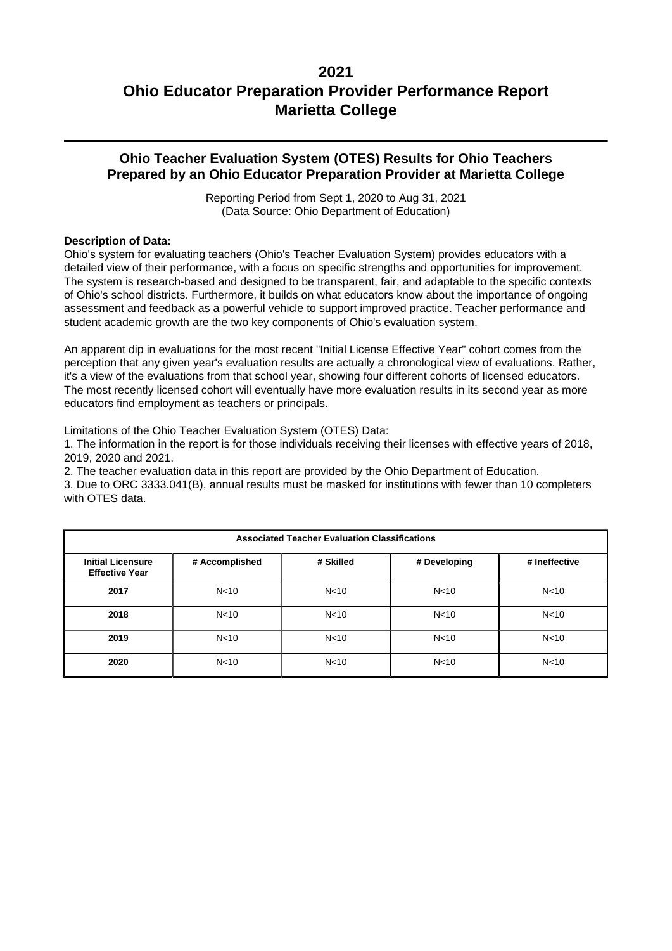### **Ohio Teacher Evaluation System (OTES) Results for Ohio Teachers Prepared by an Ohio Educator Preparation Provider at Marietta College**

Reporting Period from Sept 1, 2020 to Aug 31, 2021 (Data Source: Ohio Department of Education)

#### **Description of Data:**

Ohio's system for evaluating teachers (Ohio's Teacher Evaluation System) provides educators with a detailed view of their performance, with a focus on specific strengths and opportunities for improvement. The system is research-based and designed to be transparent, fair, and adaptable to the specific contexts of Ohio's school districts. Furthermore, it builds on what educators know about the importance of ongoing assessment and feedback as a powerful vehicle to support improved practice. Teacher performance and student academic growth are the two key components of Ohio's evaluation system.

An apparent dip in evaluations for the most recent "Initial License Effective Year" cohort comes from the perception that any given year's evaluation results are actually a chronological view of evaluations. Rather, it's a view of the evaluations from that school year, showing four different cohorts of licensed educators. The most recently licensed cohort will eventually have more evaluation results in its second year as more educators find employment as teachers or principals.

Limitations of the Ohio Teacher Evaluation System (OTES) Data:

1. The information in the report is for those individuals receiving their licenses with effective years of 2018, 2019, 2020 and 2021.

2. The teacher evaluation data in this report are provided by the Ohio Department of Education.

3. Due to ORC 3333.041(B), annual results must be masked for institutions with fewer than 10 completers with OTES data.

| <b>Associated Teacher Evaluation Classifications</b> |                 |                 |                 |                 |  |  |
|------------------------------------------------------|-----------------|-----------------|-----------------|-----------------|--|--|
| <b>Initial Licensure</b><br><b>Effective Year</b>    | # Accomplished  | # Skilled       | # Developing    | # Ineffective   |  |  |
| 2017                                                 | N <sub>10</sub> | N <sub>10</sub> | N <sub>10</sub> | N <sub>10</sub> |  |  |
| 2018                                                 | N <sub>10</sub> | N < 10          | N <sub>10</sub> | N <sub>10</sub> |  |  |
| 2019                                                 | N <sub>10</sub> | N <sub>10</sub> | N <sub>10</sub> | N <sub>10</sub> |  |  |
| 2020                                                 | N <sub>10</sub> | N <sub>10</sub> | N <sub>10</sub> | N <sub>10</sub> |  |  |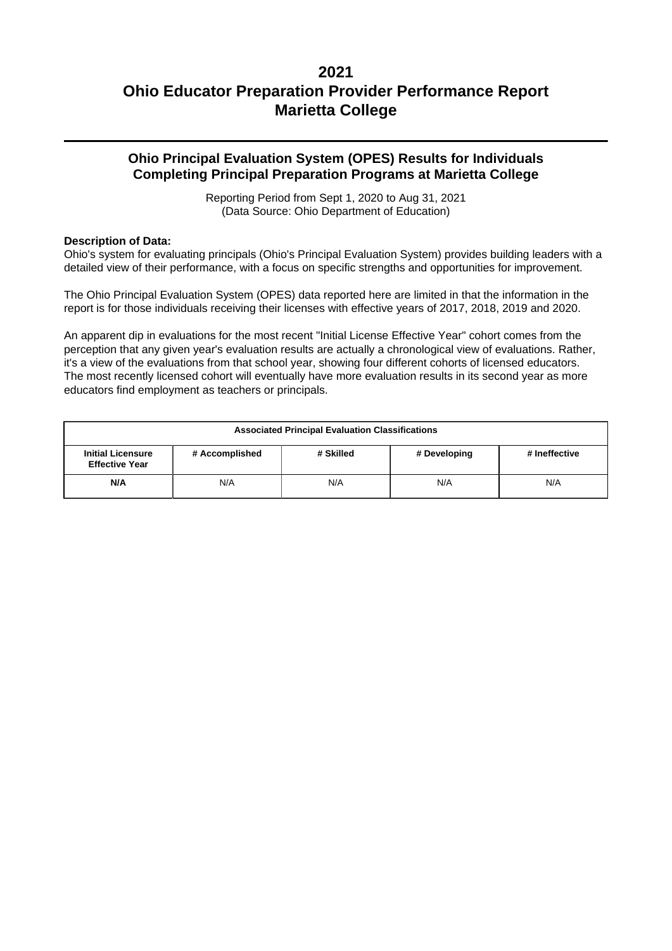### **Ohio Principal Evaluation System (OPES) Results for Individuals Completing Principal Preparation Programs at Marietta College**

Reporting Period from Sept 1, 2020 to Aug 31, 2021 (Data Source: Ohio Department of Education)

#### **Description of Data:**

Ohio's system for evaluating principals (Ohio's Principal Evaluation System) provides building leaders with a detailed view of their performance, with a focus on specific strengths and opportunities for improvement.

The Ohio Principal Evaluation System (OPES) data reported here are limited in that the information in the report is for those individuals receiving their licenses with effective years of 2017, 2018, 2019 and 2020.

An apparent dip in evaluations for the most recent "Initial License Effective Year" cohort comes from the perception that any given year's evaluation results are actually a chronological view of evaluations. Rather, it's a view of the evaluations from that school year, showing four different cohorts of licensed educators. The most recently licensed cohort will eventually have more evaluation results in its second year as more educators find employment as teachers or principals.

| <b>Associated Principal Evaluation Classifications</b>                                                            |  |  |  |  |  |  |
|-------------------------------------------------------------------------------------------------------------------|--|--|--|--|--|--|
| # Accomplished<br># Skilled<br># Ineffective<br><b>Initial Licensure</b><br># Developing<br><b>Effective Year</b> |  |  |  |  |  |  |
| N/A<br>N/A<br>N/A<br>N/A<br>N/A                                                                                   |  |  |  |  |  |  |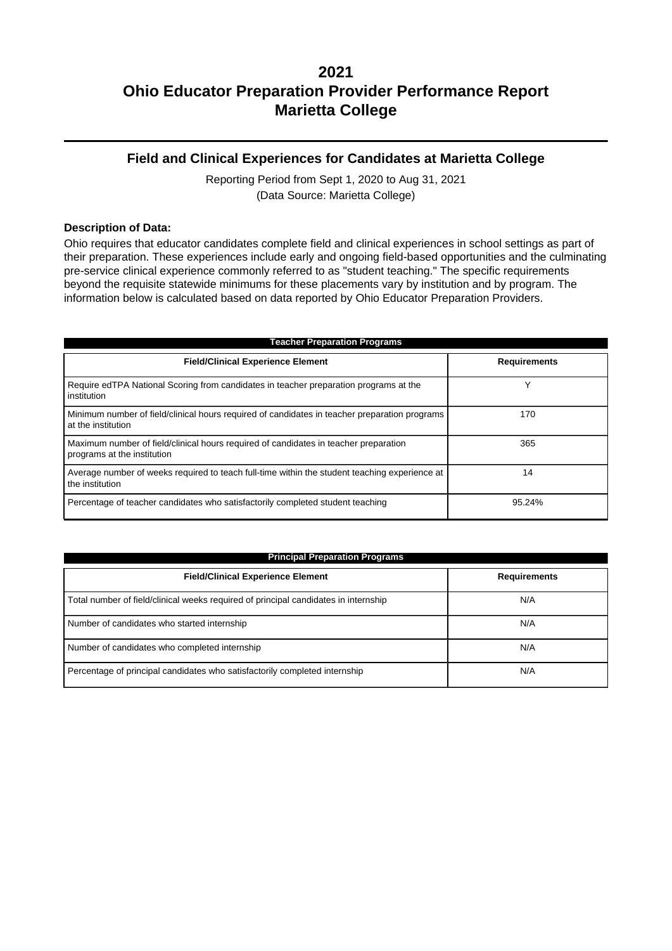### **Field and Clinical Experiences for Candidates at Marietta College**

Reporting Period from Sept 1, 2020 to Aug 31, 2021 (Data Source: Marietta College)

#### **Description of Data:**

Ohio requires that educator candidates complete field and clinical experiences in school settings as part of their preparation. These experiences include early and ongoing field-based opportunities and the culminating pre-service clinical experience commonly referred to as "student teaching." The specific requirements beyond the requisite statewide minimums for these placements vary by institution and by program. The information below is calculated based on data reported by Ohio Educator Preparation Providers.

| <b>Teacher Preparation Programs</b>                                                                                 |                     |  |  |  |  |
|---------------------------------------------------------------------------------------------------------------------|---------------------|--|--|--|--|
| <b>Field/Clinical Experience Element</b>                                                                            | <b>Requirements</b> |  |  |  |  |
| Require edTPA National Scoring from candidates in teacher preparation programs at the<br>institution                |                     |  |  |  |  |
| Minimum number of field/clinical hours required of candidates in teacher preparation programs<br>at the institution | 170                 |  |  |  |  |
| Maximum number of field/clinical hours required of candidates in teacher preparation<br>programs at the institution | 365                 |  |  |  |  |
| Average number of weeks required to teach full-time within the student teaching experience at<br>the institution    | 14                  |  |  |  |  |
| Percentage of teacher candidates who satisfactorily completed student teaching                                      | 95.24%              |  |  |  |  |

| <b>Principal Preparation Programs</b>                                               |                     |  |  |  |  |
|-------------------------------------------------------------------------------------|---------------------|--|--|--|--|
| <b>Field/Clinical Experience Element</b>                                            | <b>Requirements</b> |  |  |  |  |
| Total number of field/clinical weeks required of principal candidates in internship | N/A                 |  |  |  |  |
| Number of candidates who started internship                                         | N/A                 |  |  |  |  |
| Number of candidates who completed internship                                       | N/A                 |  |  |  |  |
| Percentage of principal candidates who satisfactorily completed internship          | N/A                 |  |  |  |  |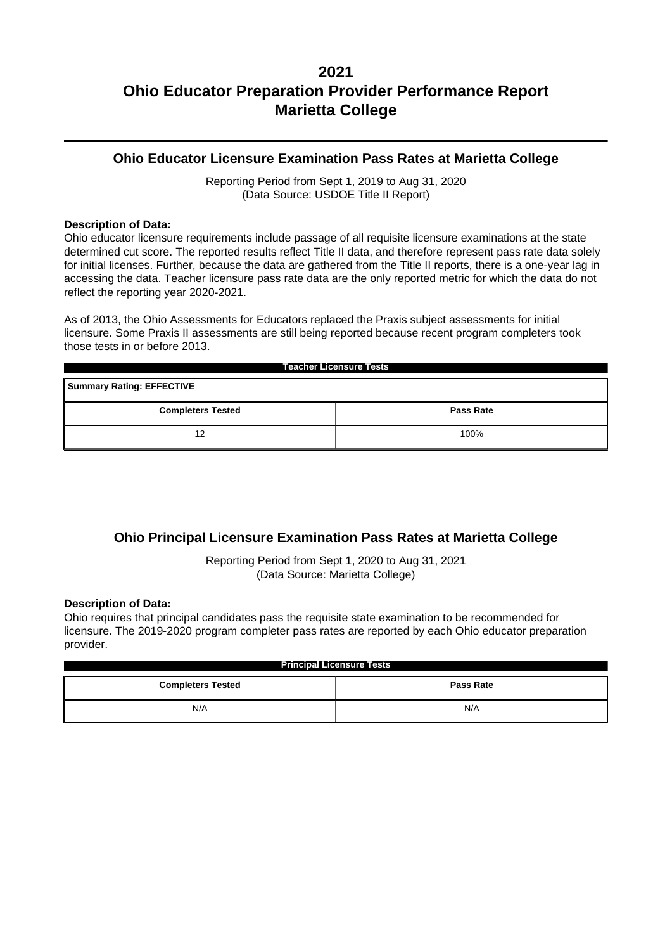### **Ohio Educator Licensure Examination Pass Rates at Marietta College**

Reporting Period from Sept 1, 2019 to Aug 31, 2020 (Data Source: USDOE Title II Report)

#### **Description of Data:**

Ohio educator licensure requirements include passage of all requisite licensure examinations at the state determined cut score. The reported results reflect Title II data, and therefore represent pass rate data solely for initial licenses. Further, because the data are gathered from the Title II reports, there is a one-year lag in accessing the data. Teacher licensure pass rate data are the only reported metric for which the data do not reflect the reporting year 2020-2021.

As of 2013, the Ohio Assessments for Educators replaced the Praxis subject assessments for initial licensure. Some Praxis II assessments are still being reported because recent program completers took those tests in or before 2013.

| <b>Teacher Licensure Tests</b>               |  |  |  |  |  |
|----------------------------------------------|--|--|--|--|--|
| <b>Summary Rating: EFFECTIVE</b>             |  |  |  |  |  |
| <b>Completers Tested</b><br><b>Pass Rate</b> |  |  |  |  |  |
| 100%<br>12                                   |  |  |  |  |  |

## **Ohio Principal Licensure Examination Pass Rates at Marietta College**

Reporting Period from Sept 1, 2020 to Aug 31, 2021 (Data Source: Marietta College)

#### **Description of Data:**

Ohio requires that principal candidates pass the requisite state examination to be recommended for licensure. The 2019-2020 program completer pass rates are reported by each Ohio educator preparation provider.

| <b>Principal Licensure Tests</b>             |     |  |  |  |
|----------------------------------------------|-----|--|--|--|
| <b>Completers Tested</b><br><b>Pass Rate</b> |     |  |  |  |
| N/A                                          | N/A |  |  |  |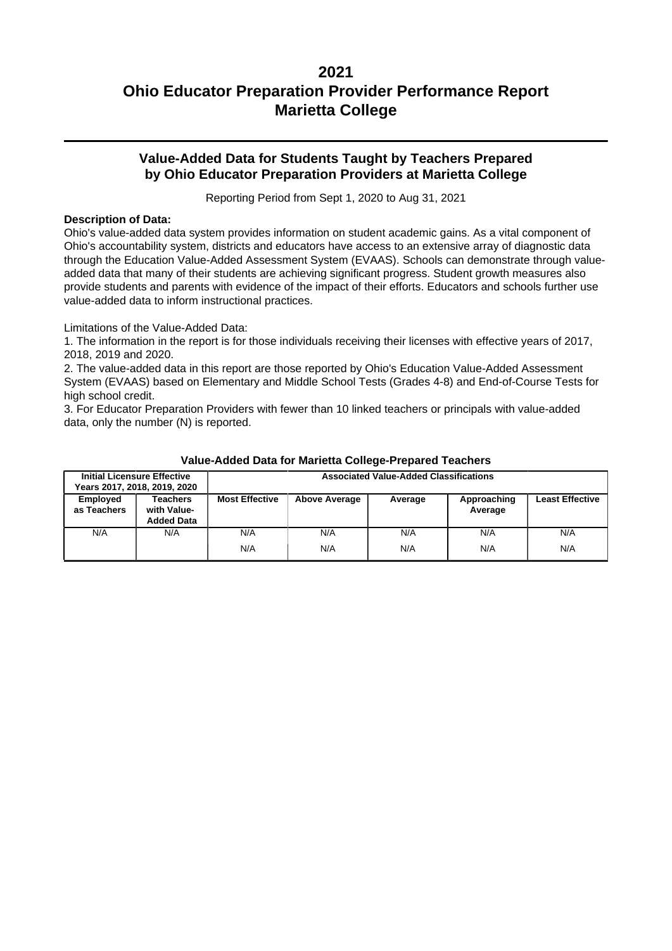### **Value-Added Data for Students Taught by Teachers Prepared by Ohio Educator Preparation Providers at Marietta College**

Reporting Period from Sept 1, 2020 to Aug 31, 2021

#### **Description of Data:**

Ohio's value-added data system provides information on student academic gains. As a vital component of Ohio's accountability system, districts and educators have access to an extensive array of diagnostic data through the Education Value-Added Assessment System (EVAAS). Schools can demonstrate through valueadded data that many of their students are achieving significant progress. Student growth measures also provide students and parents with evidence of the impact of their efforts. Educators and schools further use value-added data to inform instructional practices.

Limitations of the Value-Added Data:

1. The information in the report is for those individuals receiving their licenses with effective years of 2017, 2018, 2019 and 2020.

2. The value-added data in this report are those reported by Ohio's Education Value-Added Assessment System (EVAAS) based on Elementary and Middle School Tests (Grades 4-8) and End-of-Course Tests for high school credit.

3. For Educator Preparation Providers with fewer than 10 linked teachers or principals with value-added data, only the number (N) is reported.

|                         | <b>Initial Licensure Effective</b><br>Years 2017, 2018, 2019, 2020 | <b>Associated Value-Added Classifications</b> |                      |            |                        |                        |
|-------------------------|--------------------------------------------------------------------|-----------------------------------------------|----------------------|------------|------------------------|------------------------|
| Employed<br>as Teachers | Teachers<br>with Value-<br><b>Added Data</b>                       | <b>Most Effective</b>                         | <b>Above Average</b> | Average    | Approaching<br>Average | <b>Least Effective</b> |
| N/A                     | N/A                                                                | N/A<br>N/A                                    | N/A<br>N/A           | N/A<br>N/A | N/A<br>N/A             | N/A<br>N/A             |

#### **Value-Added Data for Marietta College-Prepared Teachers**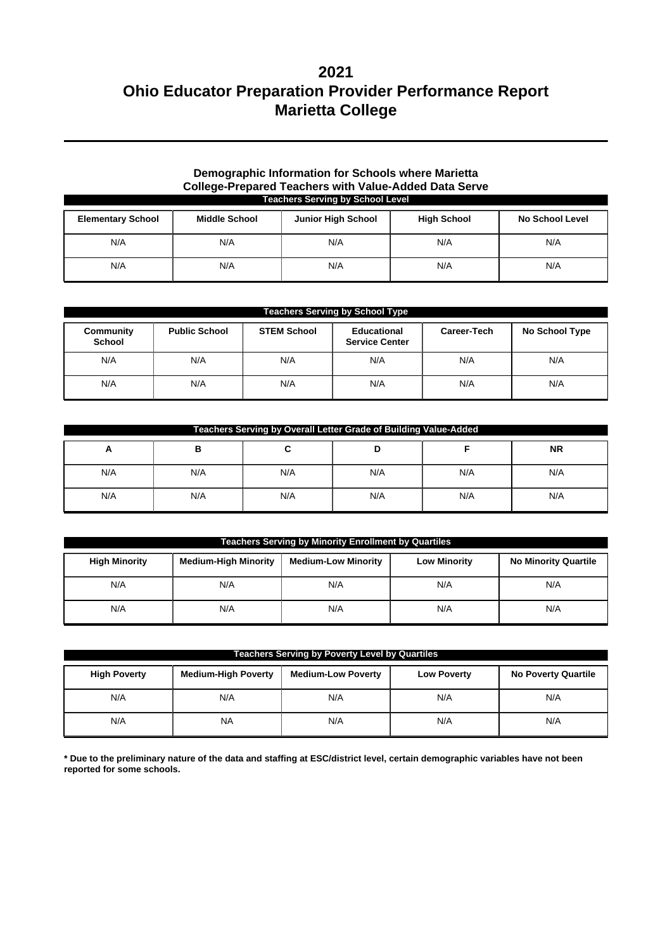#### **Demographic Information for Schools where Marietta College-Prepared Teachers with Value-Added Data Serve Teachers Serving by School Level**

| <b>Elementary School</b> | <b>Middle School</b> | <b>Junior High School</b> | <b>High School</b> | <b>No School Level</b> |
|--------------------------|----------------------|---------------------------|--------------------|------------------------|
| N/A                      | N/A                  | N/A                       | N/A                | N/A                    |
| N/A                      | N/A                  | N/A                       | N/A                | N/A                    |

| <b>Teachers Serving by School Type</b> |                      |                    |                                      |                    |                |  |
|----------------------------------------|----------------------|--------------------|--------------------------------------|--------------------|----------------|--|
| Community<br><b>School</b>             | <b>Public School</b> | <b>STEM School</b> | Educational<br><b>Service Center</b> | <b>Career-Tech</b> | No School Type |  |
| N/A                                    | N/A                  | N/A                | N/A                                  | N/A                | N/A            |  |
| N/A                                    | N/A                  | N/A                | N/A                                  | N/A                | N/A            |  |

| Teachers Serving by Overall Letter Grade of Building Value-Added |     |     |     |     |           |  |
|------------------------------------------------------------------|-----|-----|-----|-----|-----------|--|
| A                                                                | в   | ີ   | D   |     | <b>NR</b> |  |
| N/A                                                              | N/A | N/A | N/A | N/A | N/A       |  |
| N/A                                                              | N/A | N/A | N/A | N/A | N/A       |  |

| <b>Teachers Serving by Minority Enrollment by Quartiles</b> |                             |                            |                     |                             |  |  |  |
|-------------------------------------------------------------|-----------------------------|----------------------------|---------------------|-----------------------------|--|--|--|
| <b>High Minority</b>                                        | <b>Medium-High Minority</b> | <b>Medium-Low Minority</b> | <b>Low Minority</b> | <b>No Minority Quartile</b> |  |  |  |
| N/A                                                         | N/A                         | N/A                        | N/A                 | N/A                         |  |  |  |
| N/A                                                         | N/A                         | N/A                        | N/A                 | N/A                         |  |  |  |

| <b>Teachers Serving by Poverty Level by Quartiles</b> |                            |                           |                    |                            |  |  |
|-------------------------------------------------------|----------------------------|---------------------------|--------------------|----------------------------|--|--|
| <b>High Poverty</b>                                   | <b>Medium-High Poverty</b> | <b>Medium-Low Poverty</b> | <b>Low Poverty</b> | <b>No Poverty Quartile</b> |  |  |
| N/A                                                   | N/A                        | N/A                       | N/A                | N/A                        |  |  |
| N/A                                                   | <b>NA</b>                  | N/A                       | N/A                | N/A                        |  |  |

**\* Due to the preliminary nature of the data and staffing at ESC/district level, certain demographic variables have not been reported for some schools.**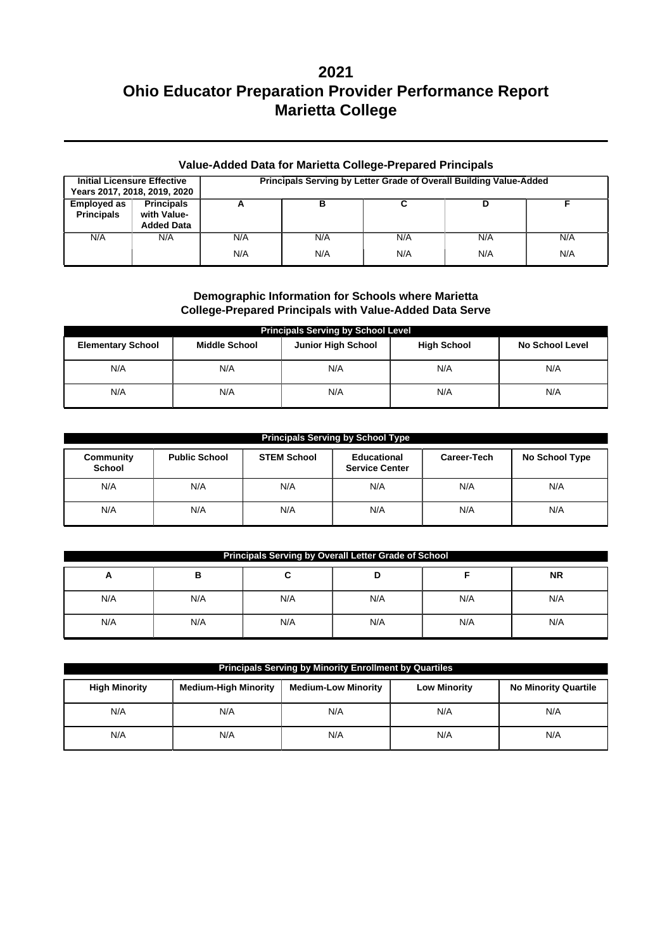| <b>Value-Added Data for Marietta College-Prepared Principals</b> |                                                       |                                                                    |     |     |     |     |  |  |
|------------------------------------------------------------------|-------------------------------------------------------|--------------------------------------------------------------------|-----|-----|-----|-----|--|--|
| <b>Initial Licensure Effective</b>                               | Years 2017, 2018, 2019, 2020                          | Principals Serving by Letter Grade of Overall Building Value-Added |     |     |     |     |  |  |
| <b>Employed as</b><br><b>Principals</b>                          | <b>Principals</b><br>with Value-<br><b>Added Data</b> | А                                                                  | в   |     | D   |     |  |  |
| N/A                                                              | N/A                                                   | N/A                                                                | N/A | N/A | N/A | N/A |  |  |
|                                                                  |                                                       | N/A                                                                | N/A | N/A | N/A | N/A |  |  |

#### **Demographic Information for Schools where Marietta College-Prepared Principals with Value-Added Data Serve**

| <b>Principals Serving by School Level</b> |                      |                           |                    |                        |  |  |  |  |
|-------------------------------------------|----------------------|---------------------------|--------------------|------------------------|--|--|--|--|
| <b>Elementary School</b>                  | <b>Middle School</b> | <b>Junior High School</b> | <b>High School</b> | <b>No School Level</b> |  |  |  |  |
| N/A                                       | N/A                  | N/A                       | N/A                | N/A                    |  |  |  |  |
| N/A                                       | N/A                  | N/A                       | N/A                | N/A                    |  |  |  |  |

| <b>Principals Serving by School Type</b> |                      |                    |                                      |             |                |  |  |  |  |
|------------------------------------------|----------------------|--------------------|--------------------------------------|-------------|----------------|--|--|--|--|
| Community<br><b>School</b>               | <b>Public School</b> | <b>STEM School</b> | Educational<br><b>Service Center</b> | Career-Tech | No School Type |  |  |  |  |
| N/A                                      | N/A                  | N/A                | N/A                                  | N/A         | N/A            |  |  |  |  |
| N/A                                      | N/A                  | N/A                | N/A                                  | N/A         | N/A            |  |  |  |  |

| <b>Principals Serving by Overall Letter Grade of School</b> |     |     |     |     |     |  |  |  |
|-------------------------------------------------------------|-----|-----|-----|-----|-----|--|--|--|
| <b>NR</b><br>в<br>A                                         |     |     |     |     |     |  |  |  |
| N/A                                                         | N/A | N/A | N/A | N/A | N/A |  |  |  |
| N/A                                                         | N/A | N/A | N/A | N/A | N/A |  |  |  |

| Principals Serving by Minority Enrollment by Quartiles |                             |                            |                     |                             |  |  |  |  |
|--------------------------------------------------------|-----------------------------|----------------------------|---------------------|-----------------------------|--|--|--|--|
| <b>High Minority</b>                                   | <b>Medium-High Minority</b> | <b>Medium-Low Minority</b> | <b>Low Minority</b> | <b>No Minority Quartile</b> |  |  |  |  |
| N/A                                                    | N/A                         | N/A                        | N/A                 | N/A                         |  |  |  |  |
| N/A                                                    | N/A                         | N/A                        | N/A                 | N/A                         |  |  |  |  |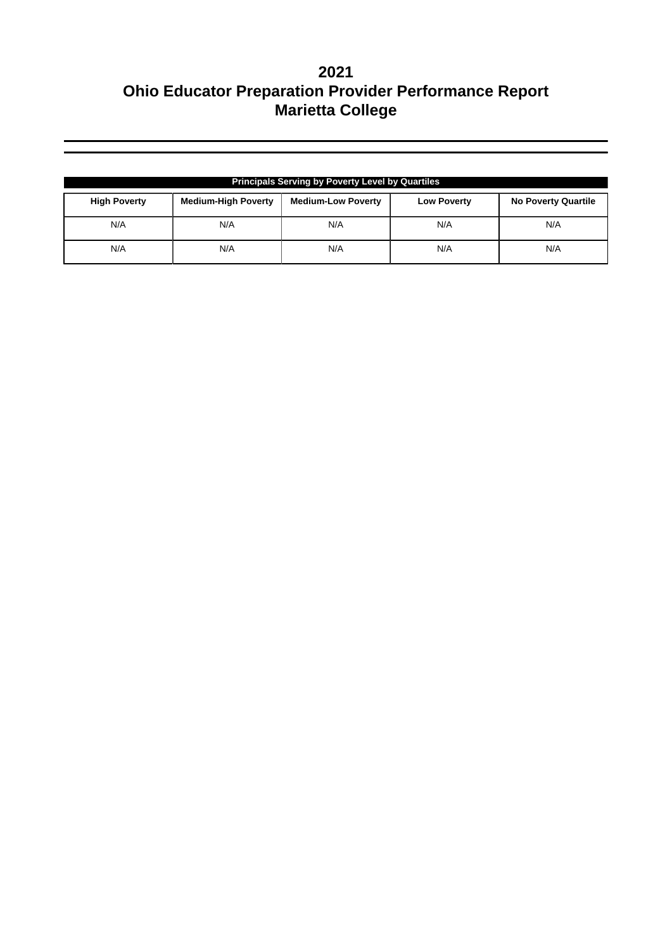| <b>Principals Serving by Poverty Level by Quartiles</b> |                            |                           |                    |                            |  |  |  |
|---------------------------------------------------------|----------------------------|---------------------------|--------------------|----------------------------|--|--|--|
| <b>High Poverty</b>                                     | <b>Medium-High Poverty</b> | <b>Medium-Low Poverty</b> | <b>Low Poverty</b> | <b>No Poverty Quartile</b> |  |  |  |
| N/A                                                     | N/A                        | N/A                       | N/A                | N/A                        |  |  |  |
| N/A                                                     | N/A                        | N/A                       | N/A                | N/A                        |  |  |  |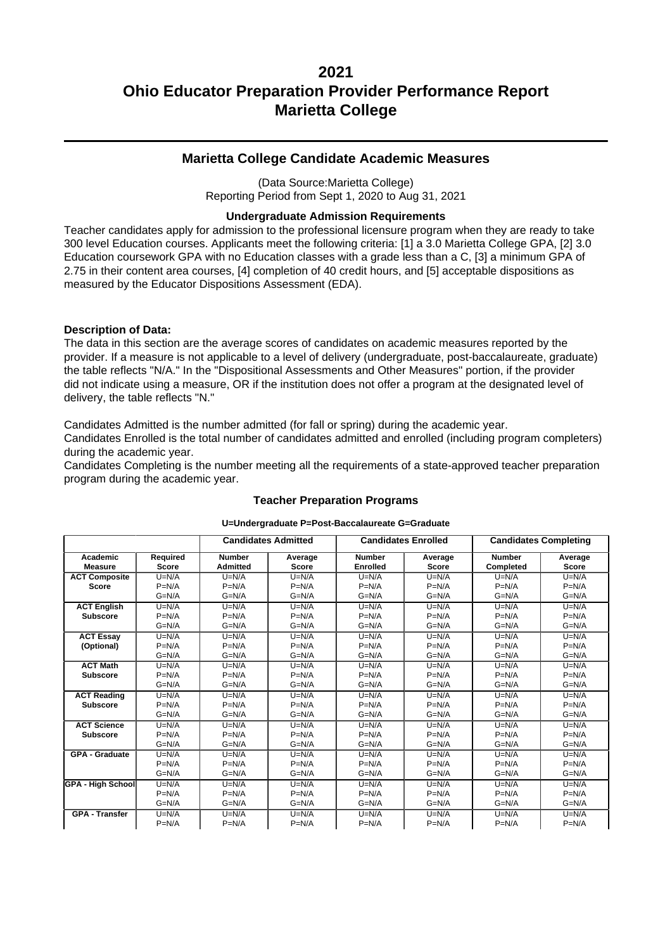### **Marietta College Candidate Academic Measures**

(Data Source:Marietta College) Reporting Period from Sept 1, 2020 to Aug 31, 2021

#### **Undergraduate Admission Requirements**

Teacher candidates apply for admission to the professional licensure program when they are ready to take 300 level Education courses. Applicants meet the following criteria: [1] a 3.0 Marietta College GPA, [2] 3.0 Education coursework GPA with no Education classes with a grade less than a C, [3] a minimum GPA of 2.75 in their content area courses, [4] completion of 40 credit hours, and [5] acceptable dispositions as measured by the Educator Dispositions Assessment (EDA).

#### **Description of Data:**

The data in this section are the average scores of candidates on academic measures reported by the provider. If a measure is not applicable to a level of delivery (undergraduate, post-baccalaureate, graduate) the table reflects "N/A." In the "Dispositional Assessments and Other Measures" portion, if the provider did not indicate using a measure, OR if the institution does not offer a program at the designated level of delivery, the table reflects "N."

Candidates Admitted is the number admitted (for fall or spring) during the academic year. Candidates Enrolled is the total number of candidates admitted and enrolled (including program completers) during the academic year.

Candidates Completing is the number meeting all the requirements of a state-approved teacher preparation program during the academic year.

|                            |                          | <b>Candidates Admitted</b>       |                         |                                  | <b>Candidates Enrolled</b> |                            | <b>Candidates Completing</b> |
|----------------------------|--------------------------|----------------------------------|-------------------------|----------------------------------|----------------------------|----------------------------|------------------------------|
| Academic<br><b>Measure</b> | Required<br><b>Score</b> | <b>Number</b><br><b>Admitted</b> | Average<br><b>Score</b> | <b>Number</b><br><b>Enrolled</b> | Average<br><b>Score</b>    | <b>Number</b><br>Completed | Average<br><b>Score</b>      |
| <b>ACT Composite</b>       | $U=N/A$                  | $U=N/A$                          | $U=N/A$                 | $U=N/A$                          | $U=N/A$                    | $U=N/A$                    | $U=N/A$                      |
| <b>Score</b>               | $P=N/A$                  | $P=N/A$                          | $P=N/A$                 | $P=N/A$                          | $P=N/A$                    | $P=N/A$                    | $P=N/A$                      |
|                            | $G=N/A$                  | $G=N/A$                          | $G=N/A$                 | $G=N/A$                          | $G=N/A$                    | $G=N/A$                    | $G=N/A$                      |
| <b>ACT English</b>         | $U=N/A$                  | $U=N/A$                          | $U=N/A$                 | $U=N/A$                          | $U=N/A$                    | $U=N/A$                    | $U=N/A$                      |
| <b>Subscore</b>            | $P=N/A$                  | $P=N/A$                          | $P=N/A$                 | $P=N/A$                          | $P=N/A$                    | $P=N/A$                    | $P=N/A$                      |
|                            | $G=N/A$                  | $G=N/A$                          | $G=N/A$                 | $G=N/A$                          | $G=N/A$                    | $G=N/A$                    | $G=N/A$                      |
| <b>ACT Essay</b>           | $U=N/A$                  | $U=N/A$                          | $U=N/A$                 | $U=N/A$                          | $U=N/A$                    | $U=N/A$                    | $U=N/A$                      |
| (Optional)                 | $P=N/A$                  | $P=N/A$                          | $P=N/A$                 | $P=N/A$                          | $P=N/A$                    | $P=N/A$                    | $P=N/A$                      |
|                            | $G=N/A$                  | $G=N/A$                          | $G=N/A$                 | $G=N/A$                          | $G=N/A$                    | $G=N/A$                    | $G=N/A$                      |
| <b>ACT Math</b>            | $U=N/A$                  | $U=N/A$                          | $U=N/A$                 | $U=N/A$                          | $U=N/A$                    | $U=N/A$                    | $U=N/A$                      |
| <b>Subscore</b>            | $P=N/A$                  | $P=N/A$                          | $P=N/A$                 | $P=N/A$                          | $P=N/A$                    | $P=N/A$                    | $P=N/A$                      |
|                            | $G=N/A$                  | $G=N/A$                          | $G=N/A$                 | $G=N/A$                          | $G=N/A$                    | $G=N/A$                    | $G=N/A$                      |
| <b>ACT Reading</b>         | $U=N/A$                  | $U=N/A$                          | $U=N/A$                 | $U=N/A$                          | $U=N/A$                    | $U=N/A$                    | $U=N/A$                      |
| <b>Subscore</b>            | $P=N/A$                  | $P=N/A$                          | $P=N/A$                 | $P=N/A$                          | $P=N/A$                    | $P=N/A$                    | $P=N/A$                      |
|                            | $G=N/A$                  | $G=N/A$                          | $G=N/A$                 | $G=N/A$                          | $G=N/A$                    | $G=N/A$                    | $G=N/A$                      |
| <b>ACT Science</b>         | $U=N/A$                  | $U=N/A$                          | $U=N/A$                 | $U=N/A$                          | $U=N/A$                    | $U=N/A$                    | $U=N/A$                      |
| <b>Subscore</b>            | $P=N/A$                  | $P=N/A$                          | $P=N/A$                 | $P=N/A$                          | $P=N/A$                    | $P=N/A$                    | $P=N/A$                      |
|                            | $G=N/A$                  | $G=N/A$                          | $G=N/A$                 | $G=N/A$                          | $G=N/A$                    | $G=N/A$                    | $G=N/A$                      |
| <b>GPA - Graduate</b>      | $U=N/A$                  | $U=N/A$                          | $U=N/A$                 | $U=N/A$                          | $U=N/A$                    | $U=N/A$                    | $U=N/A$                      |
|                            | $P=N/A$                  | $P=N/A$                          | $P=N/A$                 | $P=N/A$                          | $P=N/A$                    | $P=N/A$                    | $P=N/A$                      |
|                            | $G=N/A$                  | $G=N/A$                          | $G=N/A$                 | $G=N/A$                          | $G=N/A$                    | $G=N/A$                    | $G=N/A$                      |
| <b>GPA - High School</b>   | $U=N/A$                  | $U=N/A$                          | $U=N/A$                 | $U=N/A$                          | $U=N/A$                    | $U=N/A$                    | $U=N/A$                      |
|                            | $P=N/A$                  | $P=N/A$                          | $P=N/A$                 | $P=N/A$                          | $P=N/A$                    | $P=N/A$                    | $P=N/A$                      |
|                            | $G=N/A$                  | $G=N/A$                          | $G=N/A$                 | $G=N/A$                          | $G=N/A$                    | $G=N/A$                    | $G=N/A$                      |
| <b>GPA - Transfer</b>      | $U=N/A$                  | $U=N/A$                          | $U=N/A$                 | $U=N/A$                          | $U=N/A$                    | $U=N/A$                    | $U=N/A$                      |
|                            | $P=N/A$                  | $P=N/A$                          | $P=N/A$                 | $P=N/A$                          | $P=N/A$                    | $P=N/A$                    | $P=N/A$                      |

## **Teacher Preparation Programs U=Undergraduate P=Post-Baccalaureate G=Graduate**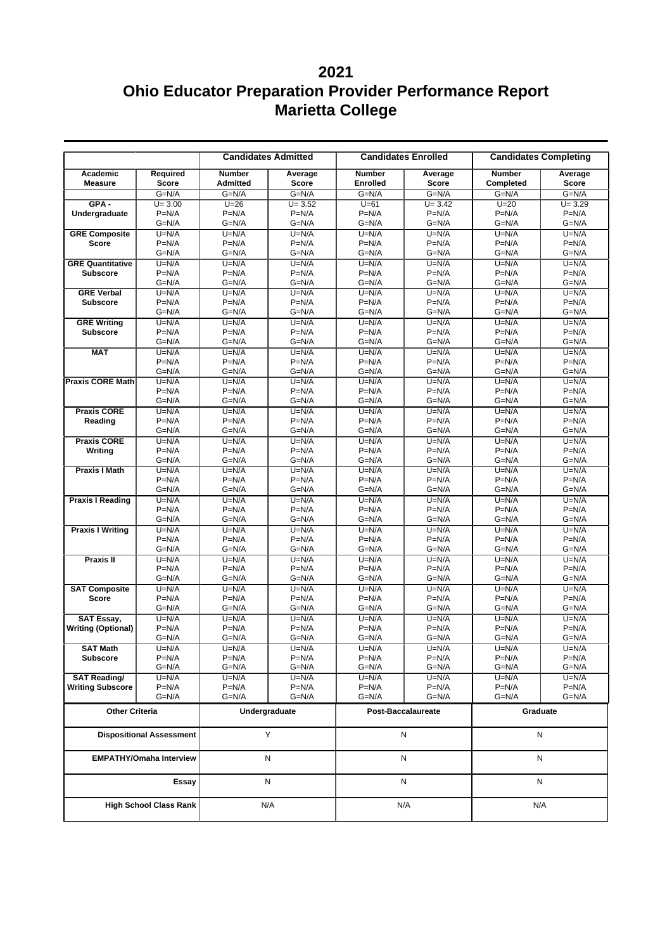|                                 | <b>Candidates Admitted</b><br><b>Candidates Enrolled</b> |                                  |                         | <b>Candidates Completing</b> |                         |                            |                         |
|---------------------------------|----------------------------------------------------------|----------------------------------|-------------------------|------------------------------|-------------------------|----------------------------|-------------------------|
| Academic<br><b>Measure</b>      | Required<br><b>Score</b>                                 | <b>Number</b><br><b>Admitted</b> | Average<br><b>Score</b> | <b>Number</b><br>Enrolled    | Average<br><b>Score</b> | <b>Number</b><br>Completed | Average<br><b>Score</b> |
|                                 | $G=N/A$                                                  | $G=N/A$                          | $G=N/A$                 | $G=N/A$                      | $G=N/A$                 | $G=N/A$                    | $G=N/A$                 |
| $GPA -$                         | $U = 3.00$                                               | $U=26$                           | $U = 3.52$              | $U=61$                       | $U = 3.42$              | $U=20$                     | $U = 3.29$              |
| Undergraduate                   | $P=N/A$                                                  | $P=N/A$                          | $P=N/A$                 | $P=N/A$                      | $P=N/A$                 | $P=N/A$                    | $P=N/A$                 |
|                                 | $G=N/A$                                                  | $G=N/A$                          | $G=N/A$                 | $G=N/A$                      | $G=N/A$                 | G=N/A                      | $G=N/A$                 |
| <b>GRE Composite</b>            | $U=N/A$<br>$P=N/A$                                       | $U=N/A$<br>$P=N/A$               | $U=N/A$                 | $U=N/A$<br>$P=N/A$           | $U=N/A$                 | $U=N/A$                    | $U=N/A$                 |
| <b>Score</b>                    | $G=N/A$                                                  | $G=N/A$                          | $P=N/A$<br>$G=N/A$      | $G=N/A$                      | $P=N/A$<br>G=N/A        | $P=N/A$<br>$G=N/A$         | $P=N/A$<br>$G=N/A$      |
| <b>GRE Quantitative</b>         | $U=N/A$                                                  | $U=N/A$                          | $U=N/A$                 | $U=N/A$                      | $U=N/A$                 | $U=N/A$                    | $U=N/A$                 |
| <b>Subscore</b>                 | $P=N/A$                                                  | $P=N/A$                          | $P=N/A$                 | $P=N/A$                      | $P=N/A$                 | $P=N/A$                    | $P=N/A$                 |
|                                 | $G=N/A$                                                  | $G=N/A$                          | $G=N/A$                 | $G=N/A$                      | $G=N/A$                 | $G=N/A$                    | $G=N/A$                 |
| <b>GRE Verbal</b>               | $U=N/A$                                                  | $U=N/A$                          | $U=N/A$                 | $U=N/A$                      | $U=N/A$                 | $U=N/A$                    | $U=N/A$                 |
| <b>Subscore</b>                 | $P=N/A$                                                  | $P=N/A$                          | $P=N/A$                 | $P=N/A$                      | $P=N/A$                 | $P=N/A$                    | $P=N/A$                 |
|                                 | $G=N/A$                                                  | $G=N/A$                          | $G=N/A$                 | $G=N/A$                      | $G=N/A$                 | $G=N/A$                    | $G=N/A$                 |
| <b>GRE Writing</b>              | $U=N/A$                                                  | $U=N/A$                          | $U=N/A$                 | $U=N/A$                      | $U=N/A$                 | $U=N/A$                    | $U=N/A$                 |
| <b>Subscore</b>                 | $P=N/A$<br>$G=N/A$                                       | $P=N/A$<br>$G=N/A$               | $P=N/A$<br>$G=N/A$      | $P=N/A$<br>$G=N/A$           | $P=N/A$<br>$G=N/A$      | $P=N/A$<br>$G=N/A$         | $P=N/A$<br>$G=N/A$      |
| <b>MAT</b>                      | $U=N/A$                                                  | $U=N/A$                          | $U=N/A$                 | $U=N/A$                      | $U=N/A$                 | $U=N/A$                    | $U=N/A$                 |
|                                 | $P=N/A$                                                  | $P=N/A$                          | $P=N/A$                 | $P=N/A$                      | $P=N/A$                 | $P=N/A$                    | $P=N/A$                 |
|                                 | $G=N/A$                                                  | $G=N/A$                          | $G=N/A$                 | $G=N/A$                      | $G=N/A$                 | $G=N/A$                    | $G=N/A$                 |
| Praxis CORE Math                | $U=N/A$                                                  | $U=N/A$                          | $U=N/A$                 | $U=N/A$                      | $U=N/A$                 | $U=N/A$                    | $U=N/A$                 |
|                                 | $P=N/A$                                                  | $P=N/A$                          | $P=N/A$                 | $P=N/A$                      | $P=N/A$                 | $P=N/A$                    | $P=N/A$                 |
|                                 | $G=N/A$                                                  | $G=N/A$                          | $G=N/A$                 | $G=N/A$                      | G=N/A                   | $G=N/A$                    | $G=N/A$                 |
| <b>Praxis CORE</b>              | $U=N/A$                                                  | $U=N/A$                          | $U=N/A$                 | $U=N/A$                      | $U=N/A$                 | $U=N/A$                    | $U=N/A$                 |
| Reading                         | $P=N/A$                                                  | $P=N/A$                          | $P=N/A$                 | $P=N/A$                      | $P=N/A$                 | $P=N/A$                    | $P=N/A$                 |
| <b>Praxis CORE</b>              | $G=N/A$<br>$U=N/A$                                       | $G=N/A$<br>$U=N/A$               | $G=N/A$<br>$U=N/A$      | $G=N/A$<br>$U=N/A$           | $G=N/A$<br>$U=N/A$      | $G=N/A$<br>$U=N/A$         | $G=N/A$<br>$U=N/A$      |
| Writing                         | $P=N/A$                                                  | $P=N/A$                          | $P=N/A$                 | $P=N/A$                      | $P=N/A$                 | $P=N/A$                    | $P=N/A$                 |
|                                 | $G=N/A$                                                  | $G=N/A$                          | $G=N/A$                 | $G=N/A$                      | $G=N/A$                 | $G=N/A$                    | $G=N/A$                 |
| <b>Praxis I Math</b>            | $U=N/A$                                                  | $U=N/A$                          | $U=N/A$                 | $U=N/A$                      | $U=N/A$                 | $U=N/A$                    | $U=N/A$                 |
|                                 | $P=N/A$                                                  | $P=N/A$                          | $P=N/A$                 | $P=N/A$                      | $P=N/A$                 | $P=N/A$                    | $P=N/A$                 |
|                                 | $G=N/A$                                                  | $G=N/A$                          | $G=N/A$                 | $G=N/A$                      | G=N/A                   | $G=N/A$                    | $G=N/A$                 |
| <b>Praxis I Reading</b>         | $U=N/A$                                                  | $U=N/A$                          | $U=N/A$                 | $U=N/A$                      | $U=N/A$                 | $U=N/A$                    | $U=N/A$                 |
|                                 | $P=N/A$                                                  | $P=N/A$                          | $P=N/A$                 | $P=N/A$                      | $P=N/A$                 | $P=N/A$                    | $P=N/A$                 |
|                                 | $G=N/A$<br>$U=N/A$                                       | $G=N/A$<br>$U=N/A$               | $G=N/A$<br>$U=N/A$      | $G=N/A$<br>$U=N/A$           | $G=N/A$<br>$U=N/A$      | $G=N/A$<br>$U=N/A$         | $G=N/A$<br>$U=N/A$      |
| <b>Praxis I Writing</b>         | $P=N/A$                                                  | $P=N/A$                          | $P=N/A$                 | $P=N/A$                      | $P=N/A$                 | $P=N/A$                    | $P=N/A$                 |
|                                 | $G=N/A$                                                  | $G=N/A$                          | $G=N/A$                 | $G=N/A$                      | $G=N/A$                 | $G=N/A$                    | $G=N/A$                 |
| Praxis II                       | $U=N/A$                                                  | $U=N/A$                          | $U=N/A$                 | $U=N/A$                      | $U=N/A$                 | $U=N/A$                    | $U=N/A$                 |
|                                 | $P=N/A$                                                  | $P=N/A$                          | $P=N/A$                 | $P=N/A$                      | $P=N/A$                 | $P=N/A$                    | $P=N/A$                 |
|                                 | $G=N/A$                                                  | $G=N/A$                          | $G=N/A$                 | $G=N/A$                      | $G=N/A$                 | $G=N/A$                    | $G=N/A$                 |
| <b>SAT Composite</b>            | $U=N/A$                                                  | $U=N/A$                          | $U=N/A$                 | $U=N/A$                      | $U=N/A$                 | $U=N/A$                    | $U=N/A$                 |
| <b>Score</b>                    | $P=N/A$                                                  | $P=N/A$                          | $P=N/A$                 | $P=N/A$                      | $P=N/A$                 | $P=N/A$                    | $P=N/A$                 |
| <b>SAT Essay,</b>               | $G=N/A$<br>$U=N/A$                                       | $G=N/A$<br>$U=N/A$               | $G=N/A$                 | $G=N/A$                      | $G=N/A$<br>$U=N/A$      | $G=N/A$<br>$U=N/A$         | $G=N/A$                 |
| <b>Writing (Optional)</b>       | $P=N/A$                                                  | $P=N/A$                          | $U=N/A$<br>$P=N/A$      | $U=N/A$<br>$P=N/A$           | $P=N/A$                 | $P=N/A$                    | $U=N/A$<br>$P=N/A$      |
|                                 | $G=N/A$                                                  | $G=N/A$                          | $G=N/A$                 | $G=N/A$                      | $G=N/A$                 | $G=N/A$                    | $G=N/A$                 |
| <b>SAT Math</b>                 | $U=N/A$                                                  | $U=N/A$                          | $U=N/A$                 | $\overline{U}$ =N/A          | $U=N/A$                 | $U=N/A$                    | $U=N/A$                 |
| <b>Subscore</b>                 | $P=N/A$                                                  | $P=N/A$                          | $P=N/A$                 | $P=N/A$                      | $P=N/A$                 | $P=N/A$                    | $P=N/A$                 |
|                                 | $G=N/A$                                                  | $G=N/A$                          | $G=N/A$                 | $G=N/A$                      | $G=N/A$                 | G=N/A                      | $G=N/A$                 |
| <b>SAT Reading/</b>             | $U=N/A$                                                  | $U=N/A$                          | $U=N/A$                 | $U=N/A$                      | $U=N/A$                 | $U=N/A$                    | $U=N/A$                 |
| <b>Writing Subscore</b>         | $P=N/A$                                                  | $P=N/A$<br>$G=N/A$               | $P=N/A$<br>$G=N/A$      | $P=N/A$<br>$G=N/A$           | $P=N/A$<br>$G=N/A$      | $P=N/A$<br>$G=N/A$         | $P=N/A$<br>$G=N/A$      |
|                                 | $G=N/A$                                                  |                                  |                         |                              |                         |                            |                         |
| <b>Other Criteria</b>           |                                                          |                                  | Undergraduate           |                              | Post-Baccalaureate      | Graduate                   |                         |
| <b>Dispositional Assessment</b> |                                                          |                                  | Y                       |                              | N                       |                            | N                       |
| <b>EMPATHY/Omaha Interview</b>  |                                                          |                                  | N                       | N                            |                         | N                          |                         |
|                                 | Essay                                                    |                                  | N                       |                              | N                       | N                          |                         |
| <b>High School Class Rank</b>   |                                                          |                                  | N/A                     | N/A                          |                         | N/A                        |                         |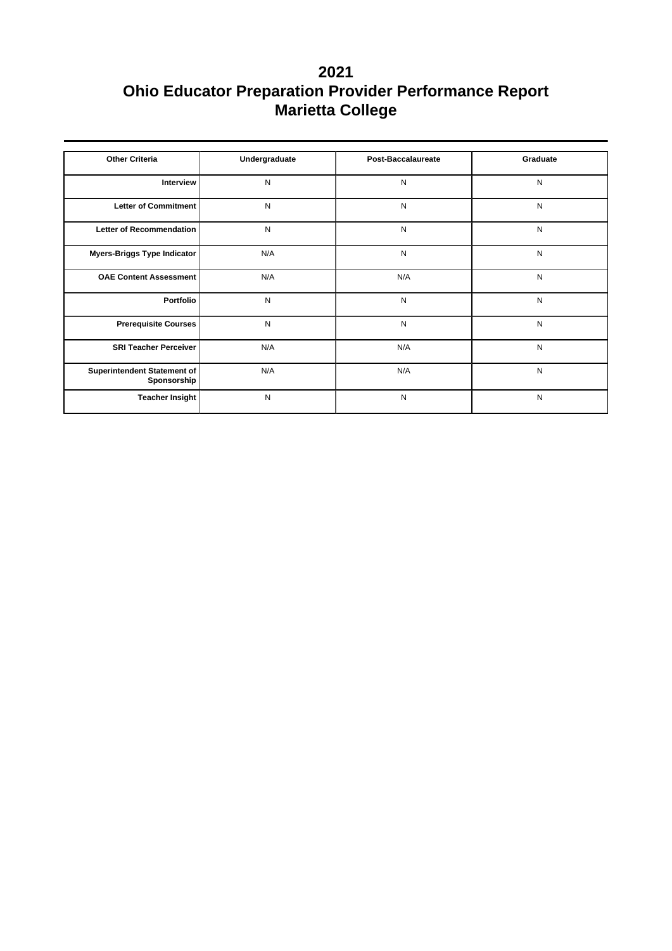| <b>Other Criteria</b>                      | Undergraduate | <b>Post-Baccalaureate</b> | Graduate  |
|--------------------------------------------|---------------|---------------------------|-----------|
| <b>Interview</b>                           | N             | N                         | N         |
| Letter of Commitment                       | N             | N                         | ${\sf N}$ |
| Letter of Recommendation                   | N             | N                         | ${\sf N}$ |
| Myers-Briggs Type Indicator                | N/A           | N                         | N         |
| <b>OAE Content Assessment</b>              | N/A           | N/A                       | ${\sf N}$ |
| Portfolio                                  | N             | N                         | ${\sf N}$ |
| <b>Prerequisite Courses</b>                | N             | N                         | N         |
| <b>SRI Teacher Perceiver</b>               | N/A           | N/A                       | ${\sf N}$ |
| Superintendent Statement of<br>Sponsorship | N/A           | N/A                       | N         |
| <b>Teacher Insight</b>                     | N             | N                         | N         |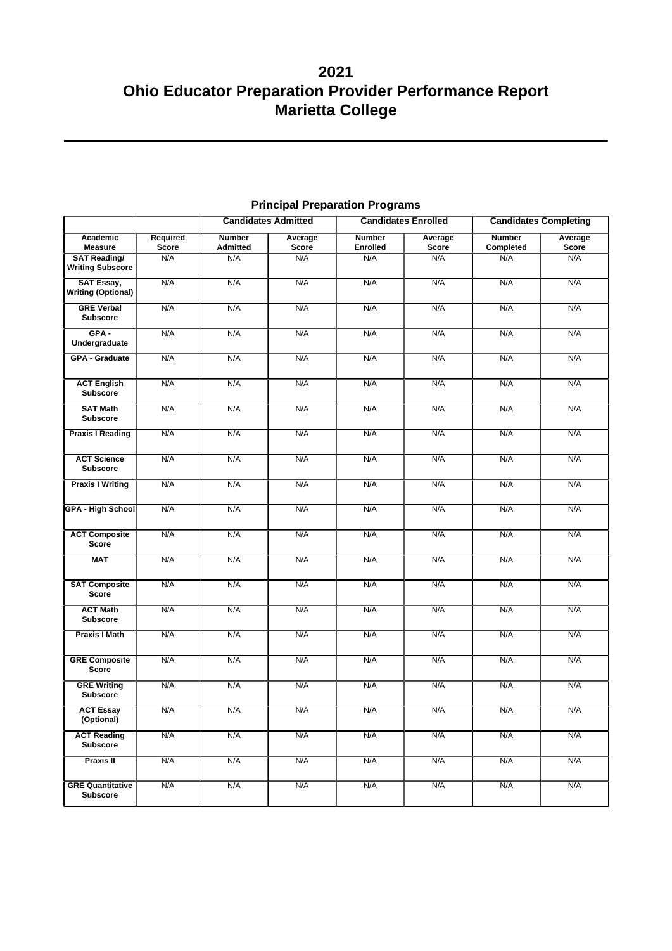|                                                |                   |                                  | <b>Candidates Admitted</b> | <b>Candidates Enrolled</b>       |                         | <b>Candidates Completing</b> |                         |
|------------------------------------------------|-------------------|----------------------------------|----------------------------|----------------------------------|-------------------------|------------------------------|-------------------------|
| Academic<br><b>Measure</b>                     | Required<br>Score | <b>Number</b><br><b>Admitted</b> | Average<br>Score           | <b>Number</b><br><b>Enrolled</b> | Average<br><b>Score</b> | <b>Number</b><br>Completed   | Average<br><b>Score</b> |
| <b>SAT Reading/</b><br><b>Writing Subscore</b> | N/A               | N/A                              | N/A                        | N/A                              | N/A                     | N/A                          | N/A                     |
| <b>SAT Essay,</b><br><b>Writing (Optional)</b> | N/A               | N/A                              | N/A                        | N/A                              | N/A                     | N/A                          | N/A                     |
| <b>GRE Verbal</b><br><b>Subscore</b>           | N/A               | N/A                              | N/A                        | N/A                              | N/A                     | N/A                          | N/A                     |
| $GPA -$<br>Undergraduate                       | N/A               | N/A                              | N/A                        | N/A                              | N/A                     | N/A                          | N/A                     |
| <b>GPA - Graduate</b>                          | N/A               | N/A                              | N/A                        | N/A                              | N/A                     | N/A                          | N/A                     |
| <b>ACT English</b><br><b>Subscore</b>          | N/A               | N/A                              | N/A                        | N/A                              | N/A                     | N/A                          | N/A                     |
| <b>SAT Math</b><br><b>Subscore</b>             | N/A               | N/A                              | N/A                        | N/A                              | N/A                     | N/A                          | N/A                     |
| <b>Praxis I Reading</b>                        | N/A               | N/A                              | N/A                        | N/A                              | N/A                     | N/A                          | N/A                     |
| <b>ACT Science</b><br><b>Subscore</b>          | N/A               | N/A                              | N/A                        | N/A                              | N/A                     | N/A                          | N/A                     |
| <b>Praxis I Writing</b>                        | N/A               | N/A                              | N/A                        | N/A                              | N/A                     | N/A                          | N/A                     |
| <b>GPA - High School</b>                       | N/A               | N/A                              | N/A                        | N/A                              | N/A                     | N/A                          | N/A                     |
| <b>ACT Composite</b><br>Score                  | N/A               | N/A                              | N/A                        | N/A                              | N/A                     | N/A                          | N/A                     |
| <b>MAT</b>                                     | N/A               | N/A                              | N/A                        | N/A                              | N/A                     | N/A                          | N/A                     |
| <b>SAT Composite</b><br><b>Score</b>           | N/A               | N/A                              | N/A                        | N/A                              | N/A                     | N/A                          | N/A                     |
| <b>ACT Math</b><br><b>Subscore</b>             | N/A               | N/A                              | N/A                        | N/A                              | N/A                     | N/A                          | N/A                     |
| <b>Praxis I Math</b>                           | N/A               | N/A                              | N/A                        | N/A                              | N/A                     | N/A                          | N/A                     |
| <b>GRE Composite</b><br><b>Score</b>           | N/A               | N/A                              | N/A                        | N/A                              | N/A                     | N/A                          | N/A                     |
| <b>GRE Writing</b><br><b>Subscore</b>          | N/A               | N/A                              | N/A                        | N/A                              | N/A                     | N/A                          | N/A                     |
| <b>ACT Essay</b><br>(Optional)                 | N/A               | N/A                              | N/A                        | N/A                              | N/A                     | N/A                          | N/A                     |
| <b>ACT Reading</b><br>Subscore                 | N/A               | N/A                              | N/A                        | N/A                              | N/A                     | N/A                          | N/A                     |
| <b>Praxis II</b>                               | N/A               | N/A                              | N/A                        | N/A                              | N/A                     | N/A                          | N/A                     |
| <b>GRE Quantitative</b><br><b>Subscore</b>     | N/A               | N/A                              | N/A                        | N/A                              | N/A                     | N/A                          | N/A                     |

## **Principal Preparation Programs**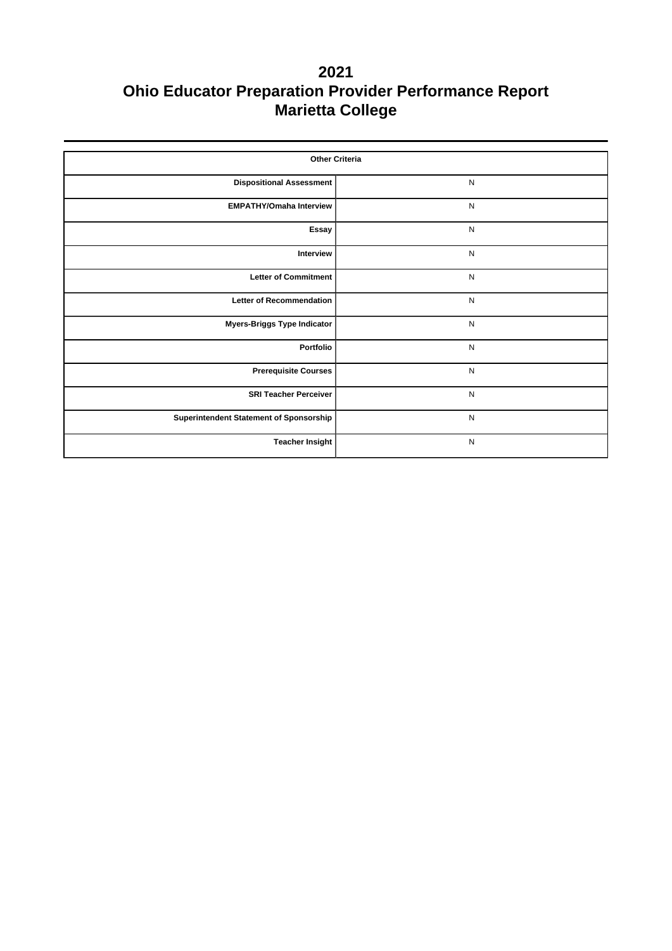| <b>Other Criteria</b>                   |              |  |  |  |  |  |
|-----------------------------------------|--------------|--|--|--|--|--|
| <b>Dispositional Assessment</b>         | $\mathsf{N}$ |  |  |  |  |  |
| <b>EMPATHY/Omaha Interview</b>          | $\mathsf{N}$ |  |  |  |  |  |
| Essay                                   | $\mathsf{N}$ |  |  |  |  |  |
| Interview                               | ${\sf N}$    |  |  |  |  |  |
| <b>Letter of Commitment</b>             | N            |  |  |  |  |  |
| <b>Letter of Recommendation</b>         | $\mathsf{N}$ |  |  |  |  |  |
| <b>Myers-Briggs Type Indicator</b>      | $\mathsf{N}$ |  |  |  |  |  |
| Portfolio                               | $\mathsf{N}$ |  |  |  |  |  |
| <b>Prerequisite Courses</b>             | $\mathsf{N}$ |  |  |  |  |  |
| <b>SRI Teacher Perceiver</b>            | ${\sf N}$    |  |  |  |  |  |
| Superintendent Statement of Sponsorship | ${\sf N}$    |  |  |  |  |  |
| <b>Teacher Insight</b>                  | $\mathsf{N}$ |  |  |  |  |  |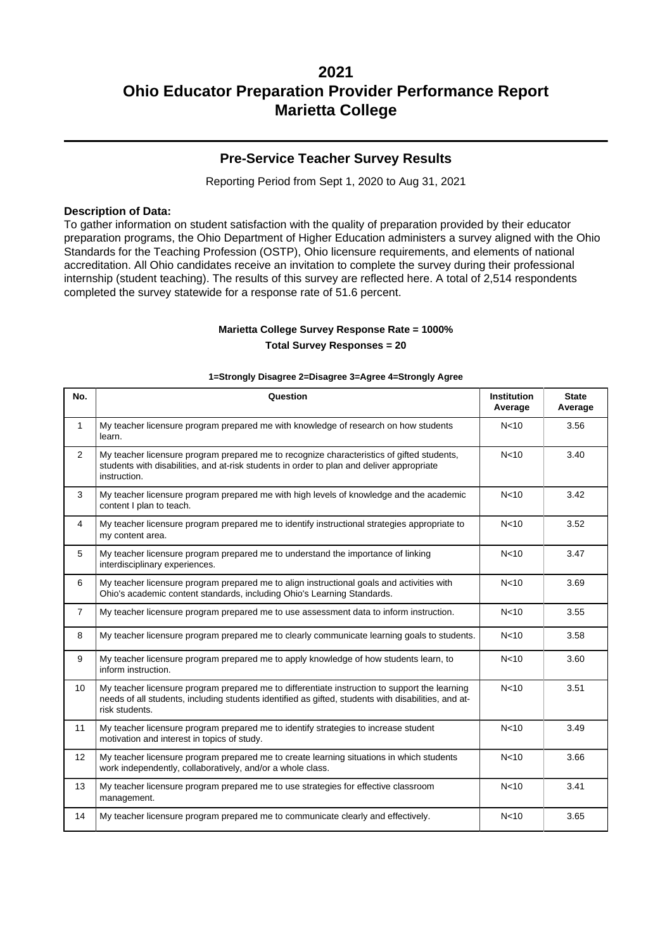### **Pre-Service Teacher Survey Results**

Reporting Period from Sept 1, 2020 to Aug 31, 2021

#### **Description of Data:**

To gather information on student satisfaction with the quality of preparation provided by their educator preparation programs, the Ohio Department of Higher Education administers a survey aligned with the Ohio Standards for the Teaching Profession (OSTP), Ohio licensure requirements, and elements of national accreditation. All Ohio candidates receive an invitation to complete the survey during their professional internship (student teaching). The results of this survey are reflected here. A total of 2,514 respondents completed the survey statewide for a response rate of 51.6 percent.

# **Marietta College Survey Response Rate = 1000%**

**Total Survey Responses = 20**

| No.            | Question                                                                                                                                                                                                               | <b>Institution</b><br>Average | <b>State</b><br>Average |
|----------------|------------------------------------------------------------------------------------------------------------------------------------------------------------------------------------------------------------------------|-------------------------------|-------------------------|
| $\mathbf{1}$   | My teacher licensure program prepared me with knowledge of research on how students<br>learn.                                                                                                                          | N <sub>10</sub>               | 3.56                    |
| $\overline{2}$ | My teacher licensure program prepared me to recognize characteristics of gifted students,<br>students with disabilities, and at-risk students in order to plan and deliver appropriate<br>instruction.                 | N <sub>10</sub>               | 3.40                    |
| 3              | My teacher licensure program prepared me with high levels of knowledge and the academic<br>content I plan to teach.                                                                                                    | N <sub>10</sub>               | 3.42                    |
| $\overline{4}$ | My teacher licensure program prepared me to identify instructional strategies appropriate to<br>my content area.                                                                                                       | N <sub>10</sub>               | 3.52                    |
| 5              | My teacher licensure program prepared me to understand the importance of linking<br>interdisciplinary experiences.                                                                                                     | N <sub>10</sub>               | 3.47                    |
| 6              | My teacher licensure program prepared me to align instructional goals and activities with<br>Ohio's academic content standards, including Ohio's Learning Standards.                                                   | N <sub>10</sub>               | 3.69                    |
| $\overline{7}$ | My teacher licensure program prepared me to use assessment data to inform instruction.                                                                                                                                 | N <sub>10</sub>               | 3.55                    |
| 8              | My teacher licensure program prepared me to clearly communicate learning goals to students.                                                                                                                            | N <sub>10</sub>               | 3.58                    |
| 9              | My teacher licensure program prepared me to apply knowledge of how students learn, to<br>inform instruction.                                                                                                           | N <sub>10</sub>               | 3.60                    |
| 10             | My teacher licensure program prepared me to differentiate instruction to support the learning<br>needs of all students, including students identified as gifted, students with disabilities, and at-<br>risk students. | N <sub>10</sub>               | 3.51                    |
| 11             | My teacher licensure program prepared me to identify strategies to increase student<br>motivation and interest in topics of study.                                                                                     | N <sub>10</sub>               | 3.49                    |
| 12             | My teacher licensure program prepared me to create learning situations in which students<br>work independently, collaboratively, and/or a whole class.                                                                 | N <sub>10</sub>               | 3.66                    |
| 13             | My teacher licensure program prepared me to use strategies for effective classroom<br>management.                                                                                                                      | N <sub>10</sub>               | 3.41                    |
| 14             | My teacher licensure program prepared me to communicate clearly and effectively.                                                                                                                                       | N <sub>10</sub>               | 3.65                    |

#### **1=Strongly Disagree 2=Disagree 3=Agree 4=Strongly Agree**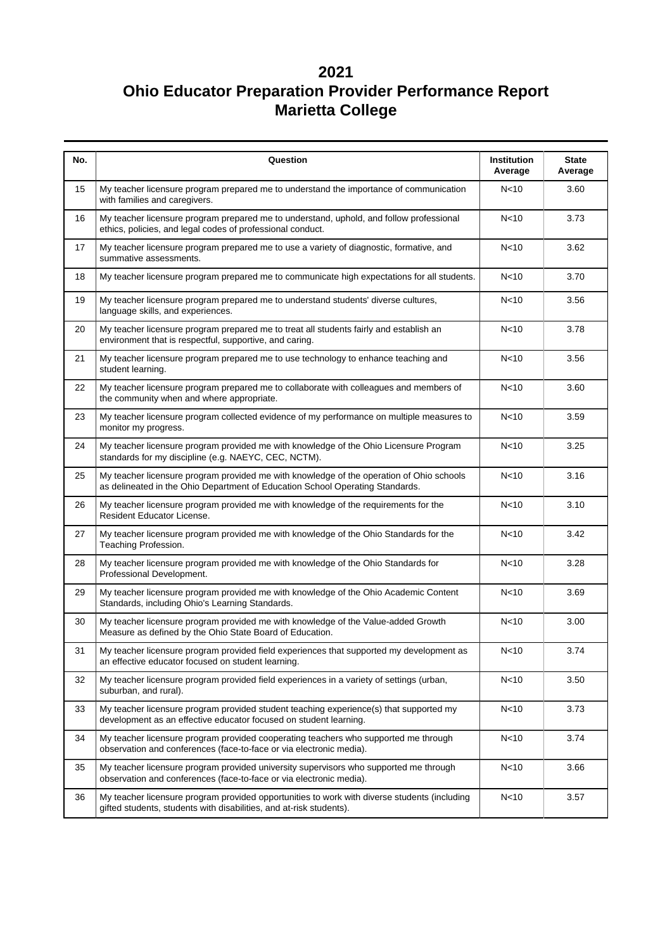| No. | Question                                                                                                                                                                  | Institution<br>Average | <b>State</b><br>Average |  |  |
|-----|---------------------------------------------------------------------------------------------------------------------------------------------------------------------------|------------------------|-------------------------|--|--|
| 15  | My teacher licensure program prepared me to understand the importance of communication<br>with families and caregivers.                                                   | N <sub>10</sub>        | 3.60                    |  |  |
| 16  | My teacher licensure program prepared me to understand, uphold, and follow professional<br>ethics, policies, and legal codes of professional conduct.                     | N <sub>10</sub>        | 3.73                    |  |  |
| 17  | My teacher licensure program prepared me to use a variety of diagnostic, formative, and<br>summative assessments.                                                         | N <sub>10</sub>        | 3.62                    |  |  |
| 18  | My teacher licensure program prepared me to communicate high expectations for all students.                                                                               | N <sub>10</sub>        | 3.70                    |  |  |
| 19  | My teacher licensure program prepared me to understand students' diverse cultures,<br>language skills, and experiences.                                                   | N <sub>10</sub>        | 3.56                    |  |  |
| 20  | My teacher licensure program prepared me to treat all students fairly and establish an<br>environment that is respectful, supportive, and caring.                         | N <sub>10</sub>        | 3.78                    |  |  |
| 21  | My teacher licensure program prepared me to use technology to enhance teaching and<br>student learning.                                                                   | N <sub>10</sub>        | 3.56                    |  |  |
| 22  | My teacher licensure program prepared me to collaborate with colleagues and members of<br>N <sub>10</sub><br>the community when and where appropriate.                    |                        |                         |  |  |
| 23  | N <sub>10</sub><br>My teacher licensure program collected evidence of my performance on multiple measures to<br>monitor my progress.                                      |                        |                         |  |  |
| 24  | My teacher licensure program provided me with knowledge of the Ohio Licensure Program<br>standards for my discipline (e.g. NAEYC, CEC, NCTM).                             | N <sub>10</sub>        | 3.25                    |  |  |
| 25  | My teacher licensure program provided me with knowledge of the operation of Ohio schools<br>as delineated in the Ohio Department of Education School Operating Standards. | N <sub>10</sub>        | 3.16                    |  |  |
| 26  | My teacher licensure program provided me with knowledge of the requirements for the<br>Resident Educator License.                                                         | N <sub>10</sub>        | 3.10                    |  |  |
| 27  | My teacher licensure program provided me with knowledge of the Ohio Standards for the<br>Teaching Profession.                                                             | N <sub>10</sub>        | 3.42                    |  |  |
| 28  | My teacher licensure program provided me with knowledge of the Ohio Standards for<br>Professional Development.                                                            |                        | 3.28                    |  |  |
| 29  | My teacher licensure program provided me with knowledge of the Ohio Academic Content<br>Standards, including Ohio's Learning Standards.                                   | N<10                   | 3.69                    |  |  |
| 30  | My teacher licensure program provided me with knowledge of the Value-added Growth<br>Measure as defined by the Ohio State Board of Education.                             | N <sub>10</sub>        | 3.00                    |  |  |
| 31  | My teacher licensure program provided field experiences that supported my development as<br>an effective educator focused on student learning.                            | N <sub>10</sub>        | 3.74                    |  |  |
| 32  | My teacher licensure program provided field experiences in a variety of settings (urban,<br>suburban, and rural).                                                         | N <sub>10</sub>        | 3.50                    |  |  |
| 33  | My teacher licensure program provided student teaching experience(s) that supported my<br>development as an effective educator focused on student learning.               | N <sub>10</sub>        | 3.73                    |  |  |
| 34  | My teacher licensure program provided cooperating teachers who supported me through<br>observation and conferences (face-to-face or via electronic media).                | N <sub>10</sub>        | 3.74                    |  |  |
| 35  | My teacher licensure program provided university supervisors who supported me through<br>observation and conferences (face-to-face or via electronic media).              | N<10                   | 3.66                    |  |  |
| 36  | My teacher licensure program provided opportunities to work with diverse students (including<br>gifted students, students with disabilities, and at-risk students).       | N<10                   | 3.57                    |  |  |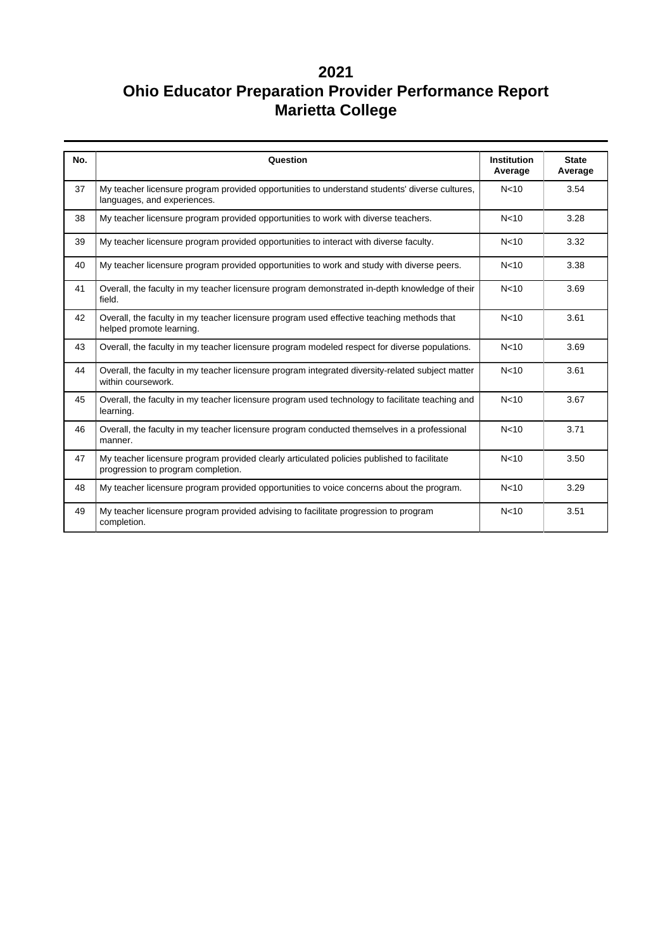| No. | Question                                                                                                                         | <b>Institution</b><br>Average | <b>State</b><br>Average |
|-----|----------------------------------------------------------------------------------------------------------------------------------|-------------------------------|-------------------------|
| 37  | My teacher licensure program provided opportunities to understand students' diverse cultures,<br>languages, and experiences.     | N <sub>10</sub>               | 3.54                    |
| 38  | My teacher licensure program provided opportunities to work with diverse teachers.                                               | N <sub>10</sub>               | 3.28                    |
| 39  | My teacher licensure program provided opportunities to interact with diverse faculty.                                            | N <sub>10</sub>               | 3.32                    |
| 40  | My teacher licensure program provided opportunities to work and study with diverse peers.                                        | N <sub>10</sub>               | 3.38                    |
| 41  | Overall, the faculty in my teacher licensure program demonstrated in-depth knowledge of their<br>field.                          | N <sub>10</sub>               | 3.69                    |
| 42  | Overall, the faculty in my teacher licensure program used effective teaching methods that<br>helped promote learning.            | N <sub>10</sub>               | 3.61                    |
| 43  | Overall, the faculty in my teacher licensure program modeled respect for diverse populations.                                    | N <sub>10</sub>               | 3.69                    |
| 44  | Overall, the faculty in my teacher licensure program integrated diversity-related subject matter<br>within coursework.           | N <sub>10</sub>               | 3.61                    |
| 45  | Overall, the faculty in my teacher licensure program used technology to facilitate teaching and<br>learning.                     | N <sub>10</sub>               | 3.67                    |
| 46  | Overall, the faculty in my teacher licensure program conducted themselves in a professional<br>manner.                           | N <sub>10</sub>               | 3.71                    |
| 47  | My teacher licensure program provided clearly articulated policies published to facilitate<br>progression to program completion. | N <sub>10</sub>               | 3.50                    |
| 48  | My teacher licensure program provided opportunities to voice concerns about the program.                                         | N <sub>10</sub>               | 3.29                    |
| 49  | My teacher licensure program provided advising to facilitate progression to program<br>completion.                               | N <sub>10</sub>               | 3.51                    |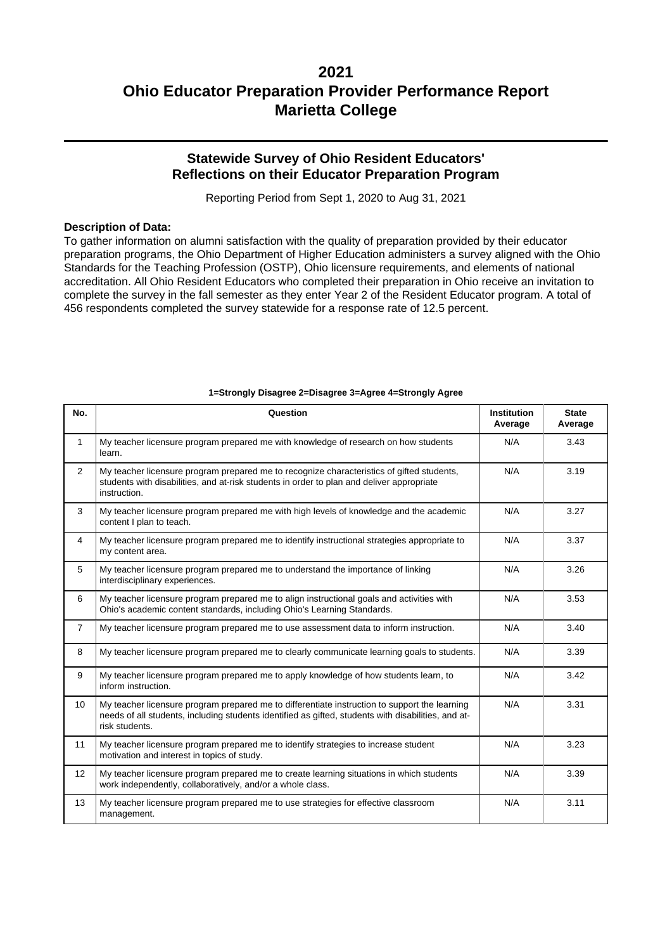### **Statewide Survey of Ohio Resident Educators' Reflections on their Educator Preparation Program**

Reporting Period from Sept 1, 2020 to Aug 31, 2021

#### **Description of Data:**

To gather information on alumni satisfaction with the quality of preparation provided by their educator preparation programs, the Ohio Department of Higher Education administers a survey aligned with the Ohio Standards for the Teaching Profession (OSTP), Ohio licensure requirements, and elements of national accreditation. All Ohio Resident Educators who completed their preparation in Ohio receive an invitation to complete the survey in the fall semester as they enter Year 2 of the Resident Educator program. A total of 456 respondents completed the survey statewide for a response rate of 12.5 percent.

| No.            | Question                                                                                                                                                                                                               | <b>Institution</b><br>Average | <b>State</b><br>Average |  |  |
|----------------|------------------------------------------------------------------------------------------------------------------------------------------------------------------------------------------------------------------------|-------------------------------|-------------------------|--|--|
| $\mathbf{1}$   | My teacher licensure program prepared me with knowledge of research on how students<br>learn.                                                                                                                          | N/A                           | 3.43                    |  |  |
| $\overline{2}$ | My teacher licensure program prepared me to recognize characteristics of gifted students,<br>students with disabilities, and at-risk students in order to plan and deliver appropriate<br>instruction.                 | N/A                           | 3.19                    |  |  |
| 3              | My teacher licensure program prepared me with high levels of knowledge and the academic<br>content I plan to teach.                                                                                                    | N/A                           | 3.27                    |  |  |
| $\overline{4}$ | My teacher licensure program prepared me to identify instructional strategies appropriate to<br>N/A<br>my content area.                                                                                                |                               |                         |  |  |
| 5              | My teacher licensure program prepared me to understand the importance of linking<br>interdisciplinary experiences.                                                                                                     | N/A                           | 3.26                    |  |  |
| 6              | N/A<br>My teacher licensure program prepared me to align instructional goals and activities with<br>Ohio's academic content standards, including Ohio's Learning Standards.                                            |                               |                         |  |  |
| $\overline{7}$ | My teacher licensure program prepared me to use assessment data to inform instruction.                                                                                                                                 | N/A                           | 3.40                    |  |  |
| 8              | N/A<br>My teacher licensure program prepared me to clearly communicate learning goals to students.<br>3.39                                                                                                             |                               |                         |  |  |
| 9              | My teacher licensure program prepared me to apply knowledge of how students learn, to<br>inform instruction.                                                                                                           | N/A<br>3.42                   |                         |  |  |
| 10             | My teacher licensure program prepared me to differentiate instruction to support the learning<br>needs of all students, including students identified as gifted, students with disabilities, and at-<br>risk students. | N/A                           | 3.31                    |  |  |
| 11             | My teacher licensure program prepared me to identify strategies to increase student<br>motivation and interest in topics of study.                                                                                     | N/A                           | 3.23                    |  |  |
| 12             | My teacher licensure program prepared me to create learning situations in which students<br>work independently, collaboratively, and/or a whole class.                                                                 | N/A                           | 3.39                    |  |  |
| 13             | My teacher licensure program prepared me to use strategies for effective classroom<br>management.                                                                                                                      | N/A                           | 3.11                    |  |  |

#### **1=Strongly Disagree 2=Disagree 3=Agree 4=Strongly Agree**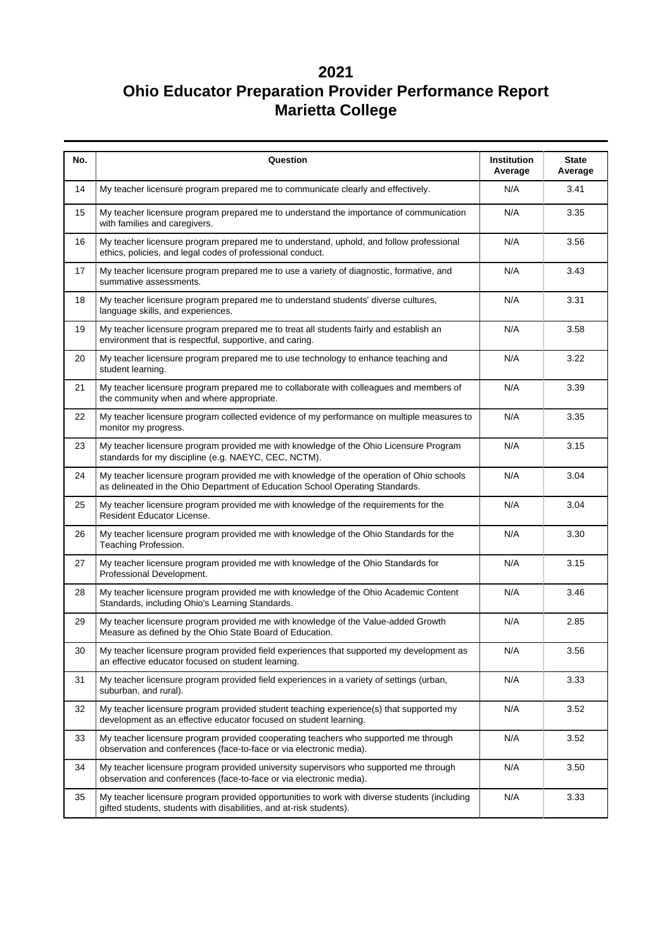| No. | Question                                                                                                                                                                  | Institution<br>Average | <b>State</b><br>Average |  |  |
|-----|---------------------------------------------------------------------------------------------------------------------------------------------------------------------------|------------------------|-------------------------|--|--|
| 14  | My teacher licensure program prepared me to communicate clearly and effectively.                                                                                          | N/A                    | 3.41                    |  |  |
| 15  | My teacher licensure program prepared me to understand the importance of communication<br>with families and caregivers.                                                   | N/A                    | 3.35                    |  |  |
| 16  | My teacher licensure program prepared me to understand, uphold, and follow professional<br>ethics, policies, and legal codes of professional conduct.                     | N/A                    | 3.56                    |  |  |
| 17  | My teacher licensure program prepared me to use a variety of diagnostic, formative, and<br>summative assessments.                                                         | N/A                    | 3.43                    |  |  |
| 18  | My teacher licensure program prepared me to understand students' diverse cultures,<br>language skills, and experiences.                                                   | N/A                    | 3.31                    |  |  |
| 19  | My teacher licensure program prepared me to treat all students fairly and establish an<br>environment that is respectful, supportive, and caring.                         | N/A                    | 3.58                    |  |  |
| 20  | My teacher licensure program prepared me to use technology to enhance teaching and<br>student learning.                                                                   | N/A                    | 3.22                    |  |  |
| 21  | N/A<br>My teacher licensure program prepared me to collaborate with colleagues and members of<br>the community when and where appropriate.                                |                        |                         |  |  |
| 22  | My teacher licensure program collected evidence of my performance on multiple measures to<br>N/A<br>monitor my progress.                                                  |                        |                         |  |  |
| 23  | My teacher licensure program provided me with knowledge of the Ohio Licensure Program<br>standards for my discipline (e.g. NAEYC, CEC, NCTM).                             | N/A                    | 3.15                    |  |  |
| 24  | My teacher licensure program provided me with knowledge of the operation of Ohio schools<br>as delineated in the Ohio Department of Education School Operating Standards. | N/A                    | 3.04                    |  |  |
| 25  | My teacher licensure program provided me with knowledge of the requirements for the<br>Resident Educator License.                                                         | N/A                    | 3.04                    |  |  |
| 26  | My teacher licensure program provided me with knowledge of the Ohio Standards for the<br>Teaching Profession.                                                             | N/A                    | 3.30                    |  |  |
| 27  | N/A<br>My teacher licensure program provided me with knowledge of the Ohio Standards for<br>Professional Development.                                                     |                        |                         |  |  |
| 28  | My teacher licensure program provided me with knowledge of the Ohio Academic Content<br>Standards, including Ohio's Learning Standards.                                   | N/A                    | 3.46                    |  |  |
| 29  | My teacher licensure program provided me with knowledge of the Value-added Growth<br>Measure as defined by the Ohio State Board of Education.                             | N/A                    | 2.85                    |  |  |
| 30  | My teacher licensure program provided field experiences that supported my development as<br>an effective educator focused on student learning.                            | N/A                    | 3.56                    |  |  |
| 31  | My teacher licensure program provided field experiences in a variety of settings (urban,<br>suburban, and rural).                                                         | N/A                    | 3.33                    |  |  |
| 32  | My teacher licensure program provided student teaching experience(s) that supported my<br>development as an effective educator focused on student learning.               | N/A                    | 3.52                    |  |  |
| 33  | My teacher licensure program provided cooperating teachers who supported me through<br>observation and conferences (face-to-face or via electronic media).                | N/A                    | 3.52                    |  |  |
| 34  | My teacher licensure program provided university supervisors who supported me through<br>observation and conferences (face-to-face or via electronic media).              | N/A                    | 3.50                    |  |  |
| 35  | My teacher licensure program provided opportunities to work with diverse students (including<br>gifted students, students with disabilities, and at-risk students).       | N/A                    | 3.33                    |  |  |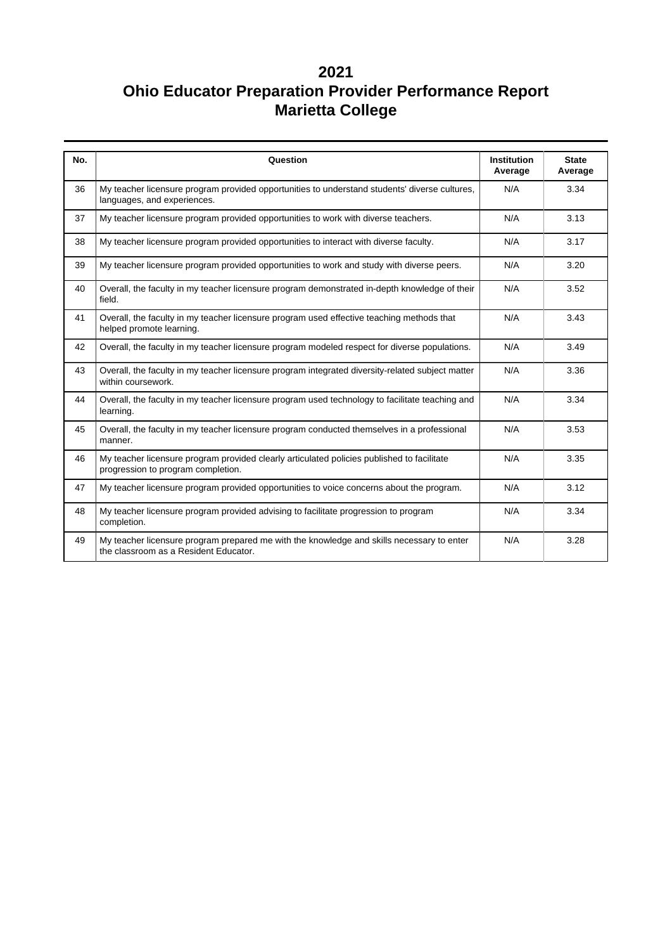| No. | Question                                                                                                                           | <b>Institution</b><br>Average | <b>State</b><br>Average |
|-----|------------------------------------------------------------------------------------------------------------------------------------|-------------------------------|-------------------------|
| 36  | My teacher licensure program provided opportunities to understand students' diverse cultures,<br>languages, and experiences.       | N/A                           | 3.34                    |
| 37  | My teacher licensure program provided opportunities to work with diverse teachers.                                                 | N/A                           | 3.13                    |
| 38  | My teacher licensure program provided opportunities to interact with diverse faculty.                                              | N/A                           | 3.17                    |
| 39  | My teacher licensure program provided opportunities to work and study with diverse peers.                                          | N/A                           | 3.20                    |
| 40  | Overall, the faculty in my teacher licensure program demonstrated in-depth knowledge of their<br>field.                            | N/A                           | 3.52                    |
| 41  | Overall, the faculty in my teacher licensure program used effective teaching methods that<br>helped promote learning.              | N/A                           | 3.43                    |
| 42  | Overall, the faculty in my teacher licensure program modeled respect for diverse populations.                                      | N/A                           | 3.49                    |
| 43  | Overall, the faculty in my teacher licensure program integrated diversity-related subject matter<br>within coursework.             | N/A                           | 3.36                    |
| 44  | N/A<br>Overall, the faculty in my teacher licensure program used technology to facilitate teaching and<br>learning.                |                               | 3.34                    |
| 45  | Overall, the faculty in my teacher licensure program conducted themselves in a professional<br>manner.                             | N/A                           | 3.53                    |
| 46  | My teacher licensure program provided clearly articulated policies published to facilitate<br>progression to program completion.   | N/A                           | 3.35                    |
| 47  | My teacher licensure program provided opportunities to voice concerns about the program.                                           | N/A                           | 3.12                    |
| 48  | My teacher licensure program provided advising to facilitate progression to program<br>completion.                                 | N/A                           | 3.34                    |
| 49  | My teacher licensure program prepared me with the knowledge and skills necessary to enter<br>the classroom as a Resident Educator. | N/A                           | 3.28                    |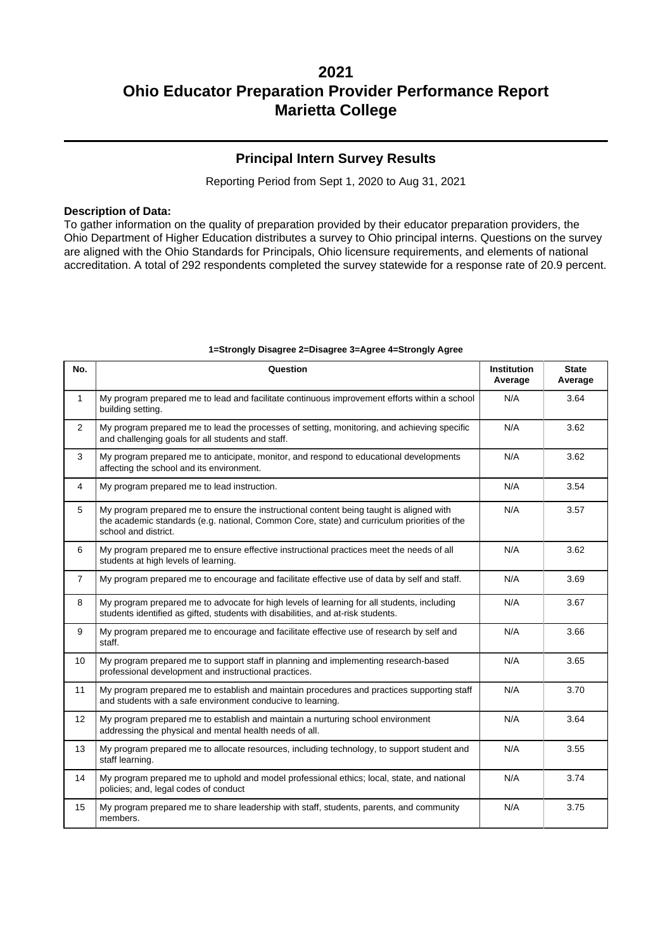### **Principal Intern Survey Results**

Reporting Period from Sept 1, 2020 to Aug 31, 2021

#### **Description of Data:**

To gather information on the quality of preparation provided by their educator preparation providers, the Ohio Department of Higher Education distributes a survey to Ohio principal interns. Questions on the survey are aligned with the Ohio Standards for Principals, Ohio licensure requirements, and elements of national accreditation. A total of 292 respondents completed the survey statewide for a response rate of 20.9 percent.

| No.            | Question                                                                                                                                                                                                       | <b>Institution</b><br>Average | <b>State</b><br>Average |
|----------------|----------------------------------------------------------------------------------------------------------------------------------------------------------------------------------------------------------------|-------------------------------|-------------------------|
| $\mathbf{1}$   | My program prepared me to lead and facilitate continuous improvement efforts within a school<br>building setting.                                                                                              | N/A                           | 3.64                    |
| $\overline{2}$ | My program prepared me to lead the processes of setting, monitoring, and achieving specific<br>and challenging goals for all students and staff.                                                               | N/A                           | 3.62                    |
| 3              | My program prepared me to anticipate, monitor, and respond to educational developments<br>affecting the school and its environment.                                                                            | N/A                           | 3.62                    |
| 4              | My program prepared me to lead instruction.                                                                                                                                                                    | N/A                           | 3.54                    |
| 5              | My program prepared me to ensure the instructional content being taught is aligned with<br>the academic standards (e.g. national, Common Core, state) and curriculum priorities of the<br>school and district. | N/A                           | 3.57                    |
| 6              | My program prepared me to ensure effective instructional practices meet the needs of all<br>students at high levels of learning.                                                                               | N/A                           | 3.62                    |
| $\overline{7}$ | My program prepared me to encourage and facilitate effective use of data by self and staff.                                                                                                                    | N/A                           | 3.69                    |
| 8              | My program prepared me to advocate for high levels of learning for all students, including<br>students identified as gifted, students with disabilities, and at-risk students.                                 | N/A                           | 3.67                    |
| 9              | My program prepared me to encourage and facilitate effective use of research by self and<br>staff.                                                                                                             | N/A                           | 3.66                    |
| 10             | My program prepared me to support staff in planning and implementing research-based<br>professional development and instructional practices.                                                                   | N/A                           | 3.65                    |
| 11             | My program prepared me to establish and maintain procedures and practices supporting staff<br>and students with a safe environment conducive to learning.                                                      | N/A                           | 3.70                    |
| 12             | My program prepared me to establish and maintain a nurturing school environment<br>addressing the physical and mental health needs of all.                                                                     | N/A                           | 3.64                    |
| 13             | My program prepared me to allocate resources, including technology, to support student and<br>staff learning.                                                                                                  | N/A                           | 3.55                    |
| 14             | My program prepared me to uphold and model professional ethics; local, state, and national<br>policies; and, legal codes of conduct                                                                            | N/A                           | 3.74                    |
| 15             | My program prepared me to share leadership with staff, students, parents, and community<br>members.                                                                                                            | N/A                           | 3.75                    |

#### **1=Strongly Disagree 2=Disagree 3=Agree 4=Strongly Agree**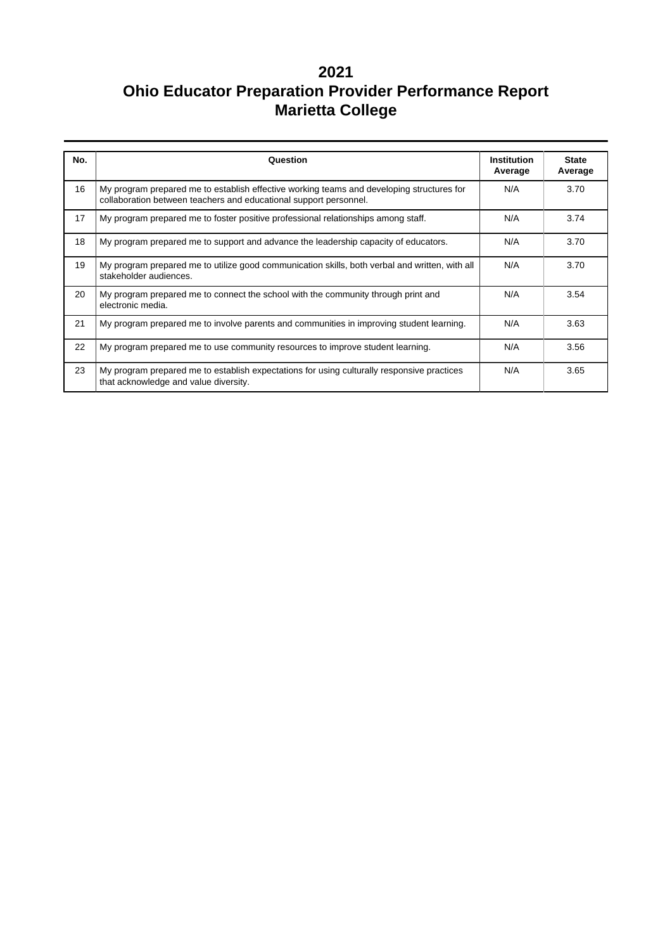| No. | Question                                                                                                                                                              | <b>State</b><br>Institution<br>Average<br>Average |      |  |  |  |
|-----|-----------------------------------------------------------------------------------------------------------------------------------------------------------------------|---------------------------------------------------|------|--|--|--|
| 16  | My program prepared me to establish effective working teams and developing structures for<br>N/A<br>collaboration between teachers and educational support personnel. |                                                   |      |  |  |  |
| 17  | My program prepared me to foster positive professional relationships among staff.                                                                                     | N/A                                               | 3.74 |  |  |  |
| 18  | My program prepared me to support and advance the leadership capacity of educators.                                                                                   | N/A                                               | 3.70 |  |  |  |
| 19  | My program prepared me to utilize good communication skills, both verbal and written, with all<br>stakeholder audiences.                                              | N/A                                               | 3.70 |  |  |  |
| 20  | My program prepared me to connect the school with the community through print and<br>electronic media.                                                                | N/A                                               | 3.54 |  |  |  |
| 21  | My program prepared me to involve parents and communities in improving student learning.                                                                              | N/A                                               | 3.63 |  |  |  |
| 22  | My program prepared me to use community resources to improve student learning.                                                                                        | N/A                                               | 3.56 |  |  |  |
| 23  | My program prepared me to establish expectations for using culturally responsive practices<br>that acknowledge and value diversity.                                   | N/A                                               | 3.65 |  |  |  |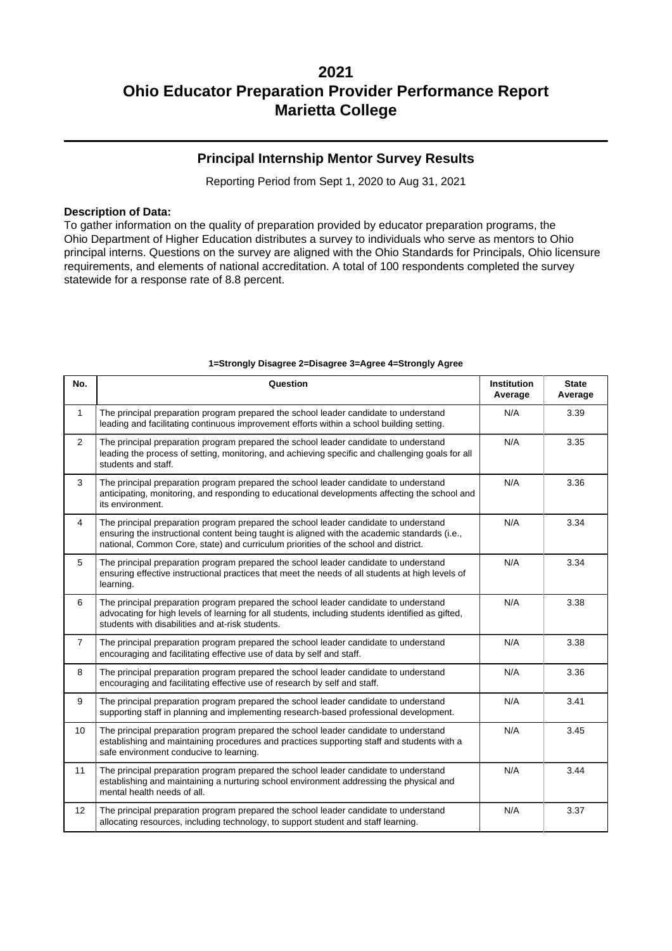### **Principal Internship Mentor Survey Results**

Reporting Period from Sept 1, 2020 to Aug 31, 2021

#### **Description of Data:**

To gather information on the quality of preparation provided by educator preparation programs, the Ohio Department of Higher Education distributes a survey to individuals who serve as mentors to Ohio principal interns. Questions on the survey are aligned with the Ohio Standards for Principals, Ohio licensure requirements, and elements of national accreditation. A total of 100 respondents completed the survey statewide for a response rate of 8.8 percent.

| No.            | Question                                                                                                                                                                                                                                                                     | <b>Institution</b><br>Average | <b>State</b><br>Average |  |  |  |  |
|----------------|------------------------------------------------------------------------------------------------------------------------------------------------------------------------------------------------------------------------------------------------------------------------------|-------------------------------|-------------------------|--|--|--|--|
| $\mathbf{1}$   | The principal preparation program prepared the school leader candidate to understand<br>N/A<br>leading and facilitating continuous improvement efforts within a school building setting.                                                                                     |                               |                         |  |  |  |  |
| $\overline{2}$ | The principal preparation program prepared the school leader candidate to understand<br>leading the process of setting, monitoring, and achieving specific and challenging goals for all<br>students and staff.                                                              | N/A                           | 3.35                    |  |  |  |  |
| 3              | The principal preparation program prepared the school leader candidate to understand<br>anticipating, monitoring, and responding to educational developments affecting the school and<br>its environment.                                                                    | N/A                           | 3.36                    |  |  |  |  |
| $\overline{4}$ | The principal preparation program prepared the school leader candidate to understand<br>ensuring the instructional content being taught is aligned with the academic standards (i.e.,<br>national, Common Core, state) and curriculum priorities of the school and district. | N/A                           | 3.34                    |  |  |  |  |
| 5              | The principal preparation program prepared the school leader candidate to understand<br>ensuring effective instructional practices that meet the needs of all students at high levels of<br>learning.                                                                        | N/A                           | 3.34                    |  |  |  |  |
| 6              | N/A<br>The principal preparation program prepared the school leader candidate to understand<br>advocating for high levels of learning for all students, including students identified as gifted,<br>students with disabilities and at-risk students.                         |                               |                         |  |  |  |  |
| $\overline{7}$ | The principal preparation program prepared the school leader candidate to understand<br>N/A<br>encouraging and facilitating effective use of data by self and staff.                                                                                                         |                               |                         |  |  |  |  |
| 8              | The principal preparation program prepared the school leader candidate to understand<br>encouraging and facilitating effective use of research by self and staff.                                                                                                            | N/A                           | 3.36                    |  |  |  |  |
| 9              | The principal preparation program prepared the school leader candidate to understand<br>supporting staff in planning and implementing research-based professional development.                                                                                               | N/A                           | 3.41                    |  |  |  |  |
| 10             | The principal preparation program prepared the school leader candidate to understand<br>establishing and maintaining procedures and practices supporting staff and students with a<br>safe environment conducive to learning.                                                | N/A                           | 3.45                    |  |  |  |  |
| 11             | The principal preparation program prepared the school leader candidate to understand<br>establishing and maintaining a nurturing school environment addressing the physical and<br>mental health needs of all.                                                               | N/A                           | 3.44                    |  |  |  |  |
| 12             | The principal preparation program prepared the school leader candidate to understand<br>allocating resources, including technology, to support student and staff learning.                                                                                                   | N/A                           | 3.37                    |  |  |  |  |

#### **1=Strongly Disagree 2=Disagree 3=Agree 4=Strongly Agree**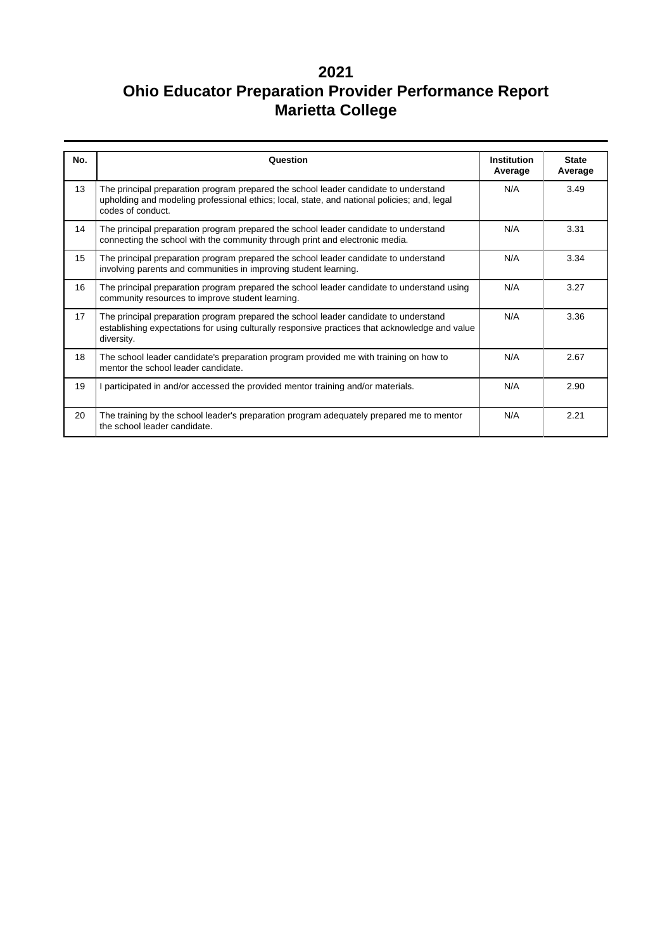| No. | Question                                                                                                                                                                                                 | <b>Institution</b><br>Average | <b>State</b><br>Average |
|-----|----------------------------------------------------------------------------------------------------------------------------------------------------------------------------------------------------------|-------------------------------|-------------------------|
| 13  | The principal preparation program prepared the school leader candidate to understand<br>upholding and modeling professional ethics; local, state, and national policies; and, legal<br>codes of conduct. | N/A                           | 3.49                    |
| 14  | The principal preparation program prepared the school leader candidate to understand<br>connecting the school with the community through print and electronic media.                                     | N/A                           | 3.31                    |
| 15  | The principal preparation program prepared the school leader candidate to understand<br>involving parents and communities in improving student learning.                                                 | N/A                           | 3.34                    |
| 16  | The principal preparation program prepared the school leader candidate to understand using<br>community resources to improve student learning.                                                           | N/A                           | 3.27                    |
| 17  | The principal preparation program prepared the school leader candidate to understand<br>establishing expectations for using culturally responsive practices that acknowledge and value<br>diversity.     | N/A                           | 3.36                    |
| 18  | The school leader candidate's preparation program provided me with training on how to<br>mentor the school leader candidate.                                                                             | N/A                           | 2.67                    |
| 19  | I participated in and/or accessed the provided mentor training and/or materials.                                                                                                                         | N/A                           | 2.90                    |
| 20  | The training by the school leader's preparation program adequately prepared me to mentor<br>the school leader candidate.                                                                                 | N/A                           | 2.21                    |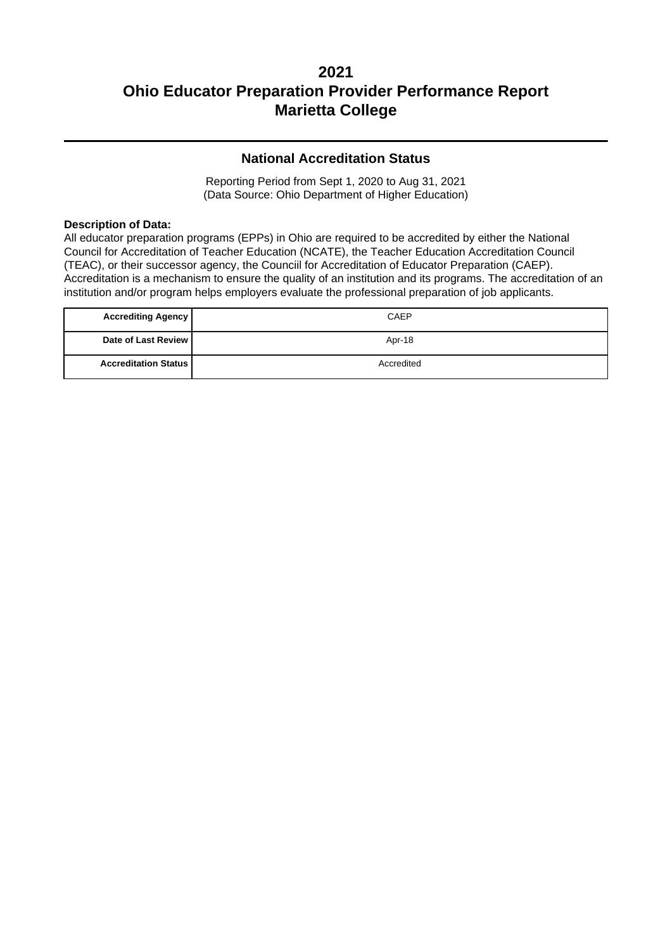### **National Accreditation Status**

Reporting Period from Sept 1, 2020 to Aug 31, 2021 (Data Source: Ohio Department of Higher Education)

#### **Description of Data:**

All educator preparation programs (EPPs) in Ohio are required to be accredited by either the National Council for Accreditation of Teacher Education (NCATE), the Teacher Education Accreditation Council (TEAC), or their successor agency, the Counciil for Accreditation of Educator Preparation (CAEP). Accreditation is a mechanism to ensure the quality of an institution and its programs. The accreditation of an institution and/or program helps employers evaluate the professional preparation of job applicants.

| <b>Accrediting Agency</b>   | CAEP       |
|-----------------------------|------------|
| Date of Last Review         | Apr-18     |
| <b>Accreditation Status</b> | Accredited |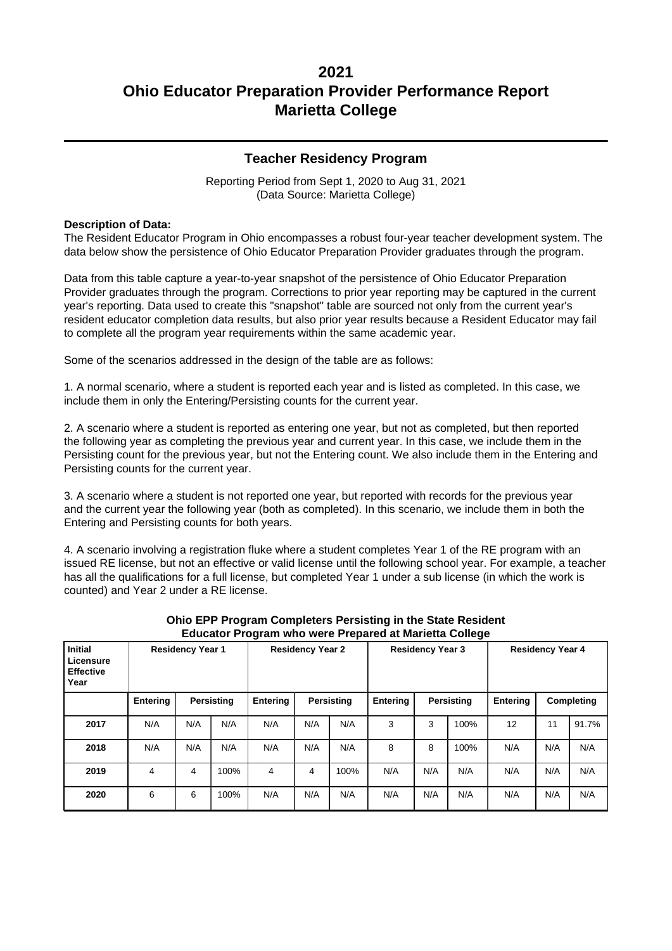### **Teacher Residency Program**

Reporting Period from Sept 1, 2020 to Aug 31, 2021 (Data Source: Marietta College)

#### **Description of Data:**

The Resident Educator Program in Ohio encompasses a robust four-year teacher development system. The data below show the persistence of Ohio Educator Preparation Provider graduates through the program.

Data from this table capture a year-to-year snapshot of the persistence of Ohio Educator Preparation Provider graduates through the program. Corrections to prior year reporting may be captured in the current year's reporting. Data used to create this "snapshot" table are sourced not only from the current year's resident educator completion data results, but also prior year results because a Resident Educator may fail to complete all the program year requirements within the same academic year.

Some of the scenarios addressed in the design of the table are as follows:

1. A normal scenario, where a student is reported each year and is listed as completed. In this case, we include them in only the Entering/Persisting counts for the current year.

2. A scenario where a student is reported as entering one year, but not as completed, but then reported the following year as completing the previous year and current year. In this case, we include them in the Persisting count for the previous year, but not the Entering count. We also include them in the Entering and Persisting counts for the current year.

3. A scenario where a student is not reported one year, but reported with records for the previous year and the current year the following year (both as completed). In this scenario, we include them in both the Entering and Persisting counts for both years.

4. A scenario involving a registration fluke where a student completes Year 1 of the RE program with an issued RE license, but not an effective or valid license until the following school year. For example, a teacher has all the qualifications for a full license, but completed Year 1 under a sub license (in which the work is counted) and Year 2 under a RE license.

| <b>Initial</b><br>Licensure<br><b>Effective</b><br>Year | <b>Residency Year 1</b> |     |                   |                 | <b>Residency Year 2</b> |            |                 | <b>Residency Year 3</b> |                   |                 | <b>Residency Year 4</b> |            |
|---------------------------------------------------------|-------------------------|-----|-------------------|-----------------|-------------------------|------------|-----------------|-------------------------|-------------------|-----------------|-------------------------|------------|
|                                                         | Entering                |     | <b>Persisting</b> | <b>Entering</b> |                         | Persisting | <b>Entering</b> |                         | <b>Persisting</b> | <b>Entering</b> |                         | Completing |
| 2017                                                    | N/A                     | N/A | N/A               | N/A             | N/A                     | N/A        | 3               | 3                       | 100%              | 12              | 11                      | 91.7%      |
| 2018                                                    | N/A                     | N/A | N/A               | N/A             | N/A                     | N/A        | 8               | 8                       | 100%              | N/A             | N/A                     | N/A        |
| 2019                                                    | 4                       | 4   | 100%              | 4               | 4                       | 100%       | N/A             | N/A                     | N/A               | N/A             | N/A                     | N/A        |
| 2020                                                    | 6                       | 6   | 100%              | N/A             | N/A                     | N/A        | N/A             | N/A                     | N/A               | N/A             | N/A                     | N/A        |

#### **Ohio EPP Program Completers Persisting in the State Resident Educator Program who were Prepared at Marietta College**